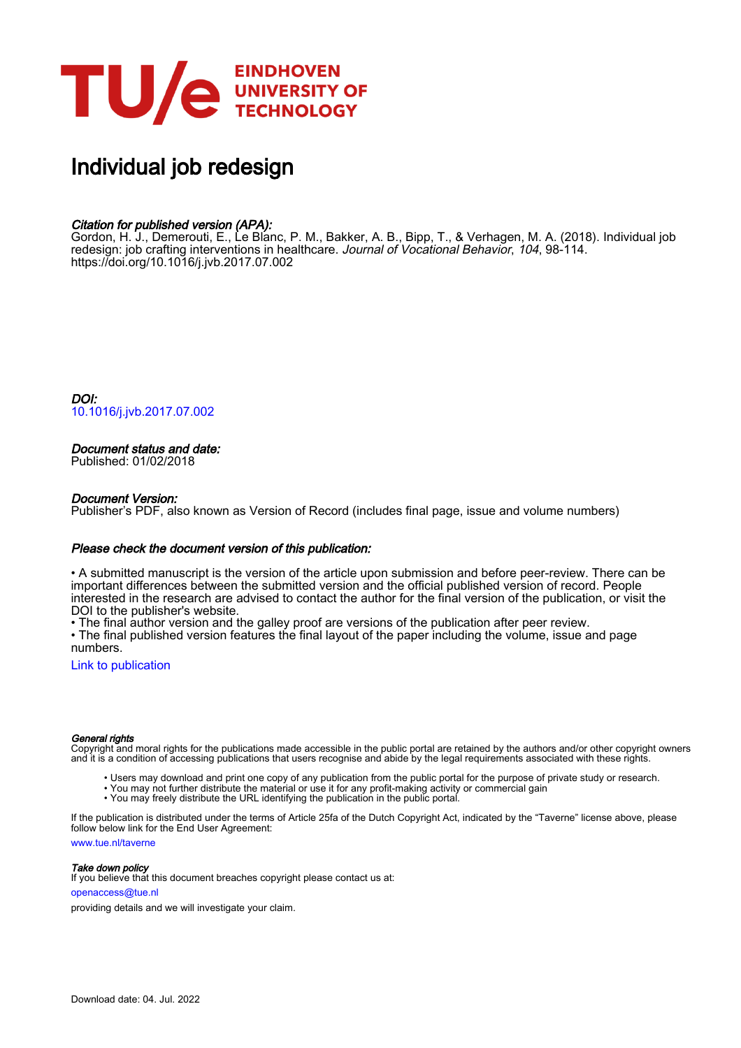

# Individual job redesign

### Citation for published version (APA):

Gordon, H. J., Demerouti, E., Le Blanc, P. M., Bakker, A. B., Bipp, T., & Verhagen, M. A. (2018). Individual job redesign: job crafting interventions in healthcare. Journal of Vocational Behavior, 104, 98-114. <https://doi.org/10.1016/j.jvb.2017.07.002>

DOI: [10.1016/j.jvb.2017.07.002](https://doi.org/10.1016/j.jvb.2017.07.002)

### Document status and date:

Published: 01/02/2018

#### Document Version:

Publisher's PDF, also known as Version of Record (includes final page, issue and volume numbers)

#### Please check the document version of this publication:

• A submitted manuscript is the version of the article upon submission and before peer-review. There can be important differences between the submitted version and the official published version of record. People interested in the research are advised to contact the author for the final version of the publication, or visit the DOI to the publisher's website.

• The final author version and the galley proof are versions of the publication after peer review.

• The final published version features the final layout of the paper including the volume, issue and page numbers.

[Link to publication](https://research.tue.nl/en/publications/9a053cb2-8fd5-4eac-8e40-4436034a048d)

#### General rights

Copyright and moral rights for the publications made accessible in the public portal are retained by the authors and/or other copyright owners and it is a condition of accessing publications that users recognise and abide by the legal requirements associated with these rights.

- Users may download and print one copy of any publication from the public portal for the purpose of private study or research.
- You may not further distribute the material or use it for any profit-making activity or commercial gain
- You may freely distribute the URL identifying the publication in the public portal.

If the publication is distributed under the terms of Article 25fa of the Dutch Copyright Act, indicated by the "Taverne" license above, please follow below link for the End User Agreement:

www.tue.nl/taverne

**Take down policy**<br>If you believe that this document breaches copyright please contact us at:

openaccess@tue.nl

providing details and we will investigate your claim.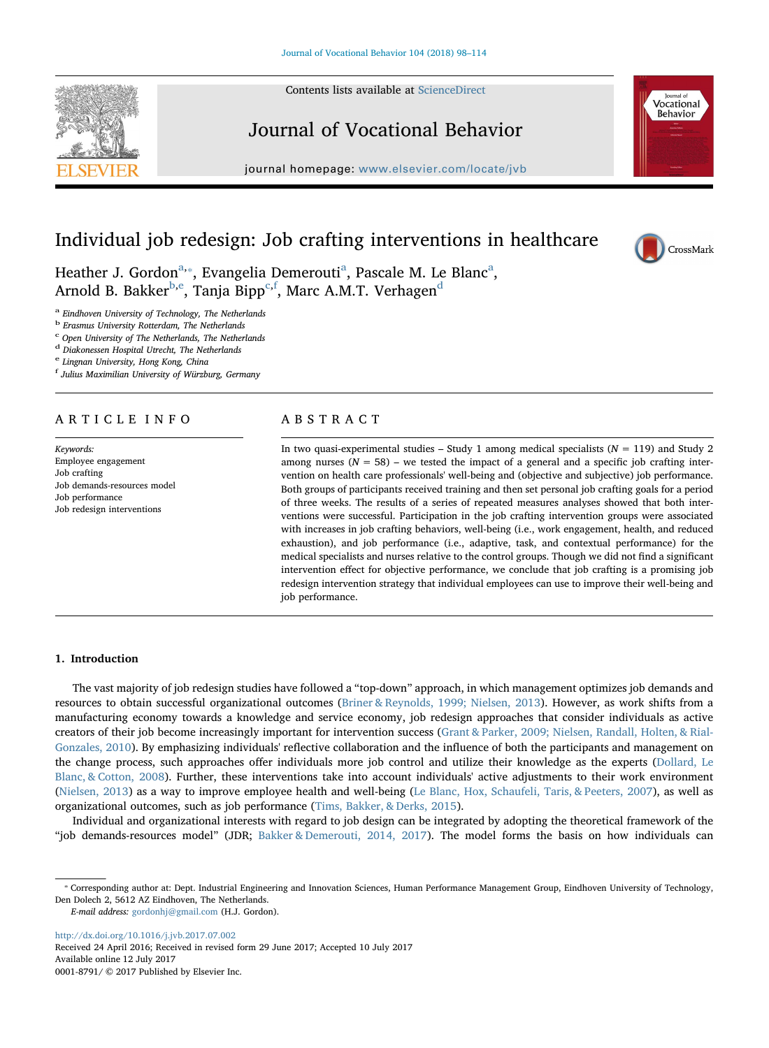Contents lists available at [ScienceDirect](http://www.sciencedirect.com/science/journal/00018791)



## Journal of Vocational Behavior

journal homepage: [www.elsevier.com/locate/jvb](https://www.elsevier.com/locate/jvb)



CrossMark

### Individual job redesign: Job crafting interventions in healthcare

He[a](#page-1-0)ther J. Gordon<sup>a,\*</sup>, Evangelia Demerouti<sup>a</sup>, Pascale M. Le Blanc<sup>a</sup>, Arnold B. Bakker<sup>[b](#page-1-2)[,e](#page-1-3)</sup>, Tanja Bipp<sup>[c,](#page-1-4)[f](#page-1-5)</sup>, Marc A.M.T. Verhagen<sup>[d](#page-1-6)</sup>

<span id="page-1-0"></span><sup>a</sup> Eindhoven University of Technology, The Netherlands

<span id="page-1-2"></span><sup>b</sup> Erasmus University Rotterdam, The Netherlands

<span id="page-1-4"></span><sup>c</sup> Open University of The Netherlands, The Netherlands

<span id="page-1-6"></span><sup>d</sup> Diakonessen Hospital Utrecht, The Netherlands

<span id="page-1-3"></span><sup>e</sup> Lingnan University, Hong Kong, China

<span id="page-1-5"></span>f Julius Maximilian University of Würzburg, Germany

#### ARTICLE INFO

Keywords: Employee engagement Job crafting Job demands-resources model Job performance Job redesign interventions

#### ABSTRACT

In two quasi-experimental studies – Study 1 among medical specialists  $(N = 119)$  and Study 2 among nurses ( $N = 58$ ) – we tested the impact of a general and a specific job crafting intervention on health care professionals' well-being and (objective and subjective) job performance. Both groups of participants received training and then set personal job crafting goals for a period of three weeks. The results of a series of repeated measures analyses showed that both interventions were successful. Participation in the job crafting intervention groups were associated with increases in job crafting behaviors, well-being (i.e., work engagement, health, and reduced exhaustion), and job performance (i.e., adaptive, task, and contextual performance) for the medical specialists and nurses relative to the control groups. Though we did not find a significant intervention effect for objective performance, we conclude that job crafting is a promising job redesign intervention strategy that individual employees can use to improve their well-being and job performance.

#### 1. Introduction

The vast majority of job redesign studies have followed a "top-down" approach, in which management optimizes job demands and resources to obtain successful organizational outcomes [\(Briner & Reynolds, 1999; Nielsen, 2013\)](#page-15-0). However, as work shifts from a manufacturing economy towards a knowledge and service economy, job redesign approaches that consider individuals as active creators of their job become increasingly important for intervention success ([Grant & Parker, 2009; Nielsen, Randall, Holten, & Rial-](#page-16-0)[Gonzales, 2010\)](#page-16-0). By emphasizing individuals' reflective collaboration and the influence of both the participants and management on the change process, such approaches offer individuals more job control and utilize their knowledge as the experts [\(Dollard, Le](#page-15-1) [Blanc, & Cotton, 2008\)](#page-15-1). Further, these interventions take into account individuals' active adjustments to their work environment ([Nielsen, 2013\)](#page-16-1) as a way to improve employee health and well-being [\(Le Blanc, Hox, Schaufeli, Taris, & Peeters, 2007](#page-16-2)), as well as organizational outcomes, such as job performance [\(Tims, Bakker, & Derks, 2015](#page-17-0)).

Individual and organizational interests with regard to job design can be integrated by adopting the theoretical framework of the "job demands-resources model" (JDR; [Bakker & Demerouti, 2014, 2017](#page-15-2)). The model forms the basis on how individuals can

E-mail address: [gordonhj@gmail.com](mailto:gordonhj@gmail.com) (H.J. Gordon).

<http://dx.doi.org/10.1016/j.jvb.2017.07.002>

Received 24 April 2016; Received in revised form 29 June 2017; Accepted 10 July 2017 Available online 12 July 2017 0001-8791/ © 2017 Published by Elsevier Inc.

<span id="page-1-1"></span><sup>⁎</sup> Corresponding author at: Dept. Industrial Engineering and Innovation Sciences, Human Performance Management Group, Eindhoven University of Technology, Den Dolech 2, 5612 AZ Eindhoven, The Netherlands.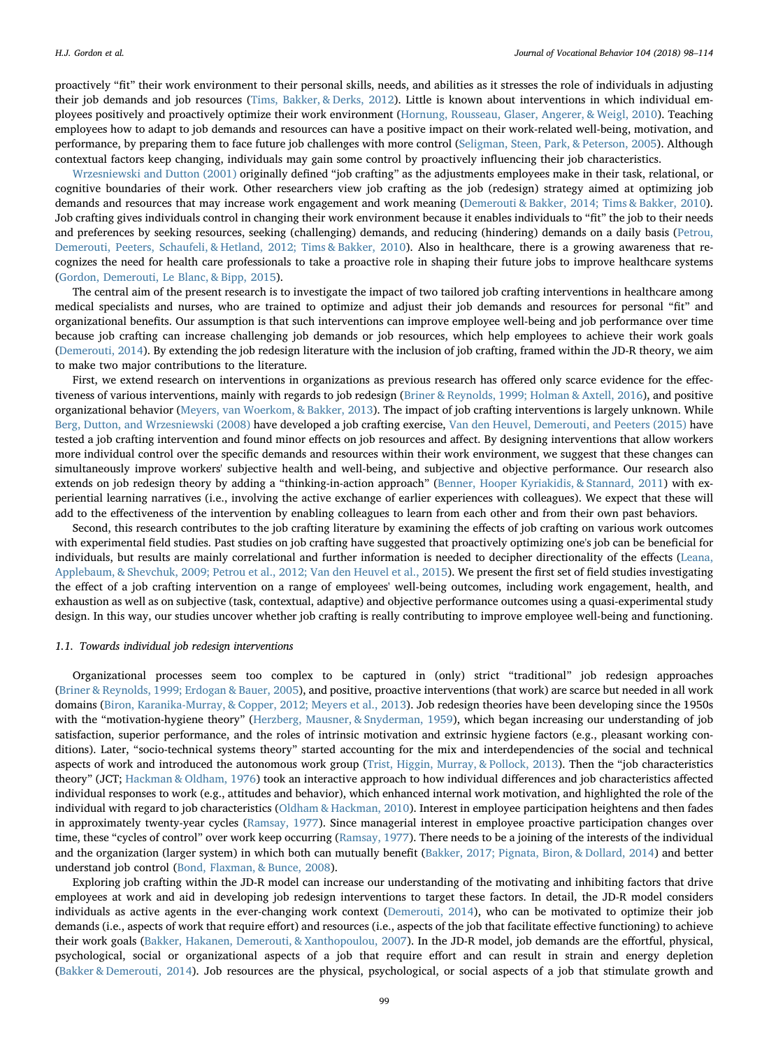proactively "fit" their work environment to their personal skills, needs, and abilities as it stresses the role of individuals in adjusting their job demands and job resources ([Tims, Bakker, & Derks, 2012](#page-16-3)). Little is known about interventions in which individual employees positively and proactively optimize their work environment ([Hornung, Rousseau, Glaser, Angerer, & Weigl, 2010\)](#page-16-4). Teaching employees how to adapt to job demands and resources can have a positive impact on their work-related well-being, motivation, and performance, by preparing them to face future job challenges with more control [\(Seligman, Steen, Park, & Peterson, 2005](#page-16-5)). Although contextual factors keep changing, individuals may gain some control by proactively influencing their job characteristics.

[Wrzesniewski and Dutton \(2001\)](#page-17-1) originally defined "job crafting" as the adjustments employees make in their task, relational, or cognitive boundaries of their work. Other researchers view job crafting as the job (redesign) strategy aimed at optimizing job demands and resources that may increase work engagement and work meaning ([Demerouti & Bakker, 2014; Tims & Bakker, 2010\)](#page-15-3). Job crafting gives individuals control in changing their work environment because it enables individuals to "fit" the job to their needs and preferences by seeking resources, seeking (challenging) demands, and reducing (hindering) demands on a daily basis ([Petrou,](#page-16-6) [Demerouti, Peeters, Schaufeli, & Hetland, 2012; Tims & Bakker, 2010](#page-16-6)). Also in healthcare, there is a growing awareness that recognizes the need for health care professionals to take a proactive role in shaping their future jobs to improve healthcare systems ([Gordon, Demerouti, Le Blanc, & Bipp, 2015\)](#page-16-7).

The central aim of the present research is to investigate the impact of two tailored job crafting interventions in healthcare among medical specialists and nurses, who are trained to optimize and adjust their job demands and resources for personal "fit" and organizational benefits. Our assumption is that such interventions can improve employee well-being and job performance over time because job crafting can increase challenging job demands or job resources, which help employees to achieve their work goals ([Demerouti, 2014](#page-15-4)). By extending the job redesign literature with the inclusion of job crafting, framed within the JD-R theory, we aim to make two major contributions to the literature.

First, we extend research on interventions in organizations as previous research has offered only scarce evidence for the effectiveness of various interventions, mainly with regards to job redesign [\(Briner & Reynolds, 1999; Holman & Axtell, 2016](#page-15-0)), and positive organizational behavior ([Meyers, van Woerkom, & Bakker, 2013](#page-16-8)). The impact of job crafting interventions is largely unknown. While [Berg, Dutton, and Wrzesniewski \(2008\)](#page-15-5) have developed a job crafting exercise, [Van den Heuvel, Demerouti, and Peeters \(2015\)](#page-17-2) have tested a job crafting intervention and found minor effects on job resources and affect. By designing interventions that allow workers more individual control over the specific demands and resources within their work environment, we suggest that these changes can simultaneously improve workers' subjective health and well-being, and subjective and objective performance. Our research also extends on job redesign theory by adding a "thinking-in-action approach" ([Benner, Hooper Kyriakidis, & Stannard, 2011](#page-15-6)) with experiential learning narratives (i.e., involving the active exchange of earlier experiences with colleagues). We expect that these will add to the effectiveness of the intervention by enabling colleagues to learn from each other and from their own past behaviors.

Second, this research contributes to the job crafting literature by examining the effects of job crafting on various work outcomes with experimental field studies. Past studies on job crafting have suggested that proactively optimizing one's job can be beneficial for individuals, but results are mainly correlational and further information is needed to decipher directionality of the effects [\(Leana,](#page-16-9) [Applebaum, & Shevchuk, 2009; Petrou et al., 2012; Van den Heuvel et al., 2015](#page-16-9)). We present the first set of field studies investigating the effect of a job crafting intervention on a range of employees' well-being outcomes, including work engagement, health, and exhaustion as well as on subjective (task, contextual, adaptive) and objective performance outcomes using a quasi-experimental study design. In this way, our studies uncover whether job crafting is really contributing to improve employee well-being and functioning.

#### 1.1. Towards individual job redesign interventions

Organizational processes seem too complex to be captured in (only) strict "traditional" job redesign approaches ([Briner & Reynolds, 1999; Erdogan & Bauer, 2005\)](#page-15-0), and positive, proactive interventions (that work) are scarce but needed in all work domains ([Biron, Karanika-Murray, & Copper, 2012; Meyers et al., 2013\)](#page-15-7). Job redesign theories have been developing since the 1950s with the "motivation-hygiene theory" [\(Herzberg, Mausner, & Snyderman, 1959\)](#page-16-10), which began increasing our understanding of job satisfaction, superior performance, and the roles of intrinsic motivation and extrinsic hygiene factors (e.g., pleasant working conditions). Later, "socio-technical systems theory" started accounting for the mix and interdependencies of the social and technical aspects of work and introduced the autonomous work group ([Trist, Higgin, Murray, & Pollock, 2013](#page-17-3)). Then the "job characteristics theory" (JCT; [Hackman & Oldham, 1976](#page-16-11)) took an interactive approach to how individual differences and job characteristics affected individual responses to work (e.g., attitudes and behavior), which enhanced internal work motivation, and highlighted the role of the individual with regard to job characteristics ([Oldham & Hackman, 2010\)](#page-16-12). Interest in employee participation heightens and then fades in approximately twenty-year cycles [\(Ramsay, 1977\)](#page-16-13). Since managerial interest in employee proactive participation changes over time, these "cycles of control" over work keep occurring [\(Ramsay, 1977\)](#page-16-13). There needs to be a joining of the interests of the individual and the organization (larger system) in which both can mutually benefit [\(Bakker, 2017; Pignata, Biron, & Dollard, 2014](#page-15-8)) and better understand job control ([Bond, Flaxman, & Bunce, 2008](#page-15-9)).

Exploring job crafting within the JD-R model can increase our understanding of the motivating and inhibiting factors that drive employees at work and aid in developing job redesign interventions to target these factors. In detail, the JD-R model considers individuals as active agents in the ever-changing work context ([Demerouti, 2014\)](#page-15-4), who can be motivated to optimize their job demands (i.e., aspects of work that require effort) and resources (i.e., aspects of the job that facilitate effective functioning) to achieve their work goals [\(Bakker, Hakanen, Demerouti, & Xanthopoulou, 2007](#page-15-10)). In the JD-R model, job demands are the effortful, physical, psychological, social or organizational aspects of a job that require effort and can result in strain and energy depletion ([Bakker & Demerouti, 2014](#page-15-2)). Job resources are the physical, psychological, or social aspects of a job that stimulate growth and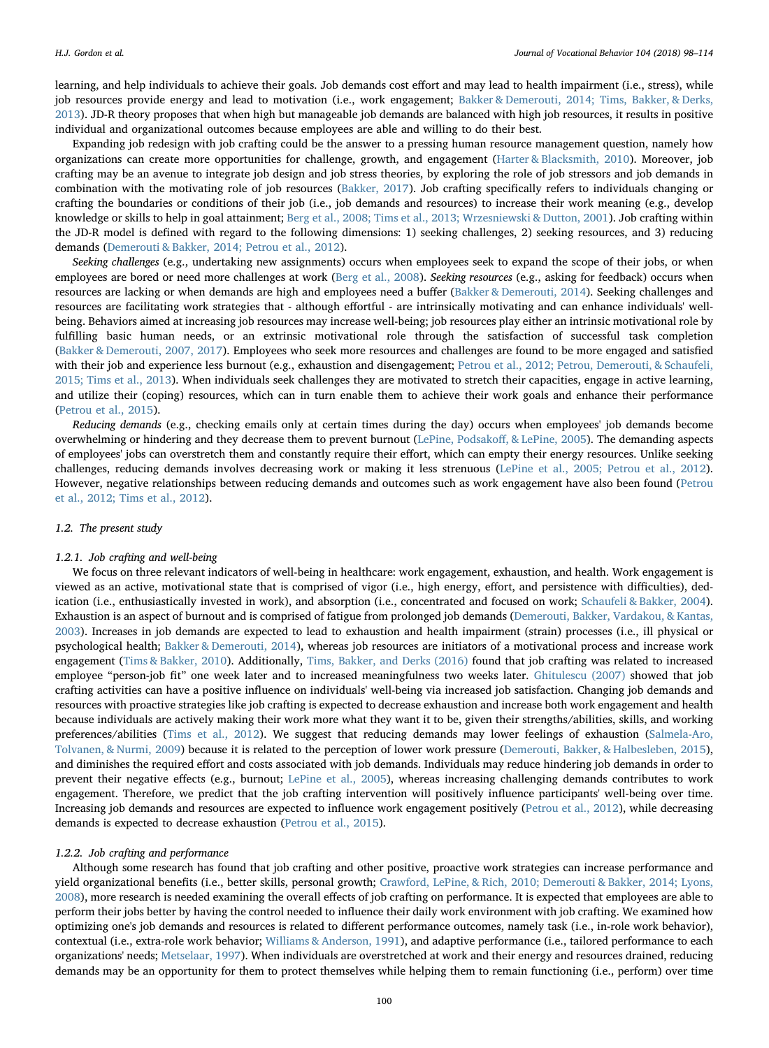learning, and help individuals to achieve their goals. Job demands cost effort and may lead to health impairment (i.e., stress), while job resources provide energy and lead to motivation (i.e., work engagement; [Bakker & Demerouti, 2014; Tims, Bakker, & Derks,](#page-15-2) [2013\)](#page-15-2). JD-R theory proposes that when high but manageable job demands are balanced with high job resources, it results in positive individual and organizational outcomes because employees are able and willing to do their best.

Expanding job redesign with job crafting could be the answer to a pressing human resource management question, namely how organizations can create more opportunities for challenge, growth, and engagement ([Harter & Blacksmith, 2010\)](#page-16-14). Moreover, job crafting may be an avenue to integrate job design and job stress theories, by exploring the role of job stressors and job demands in combination with the motivating role of job resources ([Bakker, 2017\)](#page-15-8). Job crafting specifically refers to individuals changing or crafting the boundaries or conditions of their job (i.e., job demands and resources) to increase their work meaning (e.g., develop knowledge or skills to help in goal attainment; [Berg et al., 2008; Tims et al., 2013; Wrzesniewski & Dutton, 2001](#page-15-5)). Job crafting within the JD-R model is defined with regard to the following dimensions: 1) seeking challenges, 2) seeking resources, and 3) reducing demands [\(Demerouti & Bakker, 2014; Petrou et al., 2012\)](#page-15-3).

Seeking challenges (e.g., undertaking new assignments) occurs when employees seek to expand the scope of their jobs, or when employees are bored or need more challenges at work ([Berg et al., 2008](#page-15-5)). Seeking resources (e.g., asking for feedback) occurs when resources are lacking or when demands are high and employees need a buffer [\(Bakker & Demerouti, 2014](#page-15-2)). Seeking challenges and resources are facilitating work strategies that - although effortful - are intrinsically motivating and can enhance individuals' wellbeing. Behaviors aimed at increasing job resources may increase well-being; job resources play either an intrinsic motivational role by fulfilling basic human needs, or an extrinsic motivational role through the satisfaction of successful task completion ([Bakker & Demerouti, 2007, 2017\)](#page-15-11). Employees who seek more resources and challenges are found to be more engaged and satisfied with their job and experience less burnout (e.g., exhaustion and disengagement; [Petrou et al., 2012; Petrou, Demerouti, & Schaufeli,](#page-16-6) [2015; Tims et al., 2013](#page-16-6)). When individuals seek challenges they are motivated to stretch their capacities, engage in active learning, and utilize their (coping) resources, which can in turn enable them to achieve their work goals and enhance their performance ([Petrou et al., 2015\)](#page-16-15).

Reducing demands (e.g., checking emails only at certain times during the day) occurs when employees' job demands become overwhelming or hindering and they decrease them to prevent burnout ([LePine, Podsako](#page-16-16)ff, & LePine, 2005). The demanding aspects of employees' jobs can overstretch them and constantly require their effort, which can empty their energy resources. Unlike seeking challenges, reducing demands involves decreasing work or making it less strenuous [\(LePine et al., 2005; Petrou et al., 2012\)](#page-16-16). However, negative relationships between reducing demands and outcomes such as work engagement have also been found ([Petrou](#page-16-6) [et al., 2012; Tims et al., 2012](#page-16-6)).

#### 1.2. The present study

#### 1.2.1. Job crafting and well-being

We focus on three relevant indicators of well-being in healthcare: work engagement, exhaustion, and health. Work engagement is viewed as an active, motivational state that is comprised of vigor (i.e., high energy, effort, and persistence with difficulties), dedication (i.e., enthusiastically invested in work), and absorption (i.e., concentrated and focused on work; [Schaufeli & Bakker, 2004](#page-16-17)). Exhaustion is an aspect of burnout and is comprised of fatigue from prolonged job demands [\(Demerouti, Bakker, Vardakou, & Kantas,](#page-15-12) [2003\)](#page-15-12). Increases in job demands are expected to lead to exhaustion and health impairment (strain) processes (i.e., ill physical or psychological health; [Bakker & Demerouti, 2014\)](#page-15-2), whereas job resources are initiators of a motivational process and increase work engagement [\(Tims & Bakker, 2010\)](#page-16-18). Additionally, [Tims, Bakker, and Derks \(2016\)](#page-17-4) found that job crafting was related to increased employee "person-job fit" one week later and to increased meaningfulness two weeks later. [Ghitulescu \(2007\)](#page-16-19) showed that job crafting activities can have a positive influence on individuals' well-being via increased job satisfaction. Changing job demands and resources with proactive strategies like job crafting is expected to decrease exhaustion and increase both work engagement and health because individuals are actively making their work more what they want it to be, given their strengths/abilities, skills, and working preferences/abilities [\(Tims et al., 2012\)](#page-16-3). We suggest that reducing demands may lower feelings of exhaustion ([Salmela-Aro,](#page-16-20) [Tolvanen, & Nurmi, 2009\)](#page-16-20) because it is related to the perception of lower work pressure ([Demerouti, Bakker, & Halbesleben, 2015](#page-15-13)), and diminishes the required effort and costs associated with job demands. Individuals may reduce hindering job demands in order to prevent their negative effects (e.g., burnout; [LePine et al., 2005\)](#page-16-16), whereas increasing challenging demands contributes to work engagement. Therefore, we predict that the job crafting intervention will positively influence participants' well-being over time. Increasing job demands and resources are expected to influence work engagement positively [\(Petrou et al., 2012](#page-16-6)), while decreasing demands is expected to decrease exhaustion ([Petrou et al., 2015](#page-16-15)).

#### 1.2.2. Job crafting and performance

Although some research has found that job crafting and other positive, proactive work strategies can increase performance and yield organizational benefits (i.e., better skills, personal growth; [Crawford, LePine, & Rich, 2010; Demerouti & Bakker, 2014; Lyons,](#page-15-14) [2008\)](#page-15-14), more research is needed examining the overall effects of job crafting on performance. It is expected that employees are able to perform their jobs better by having the control needed to influence their daily work environment with job crafting. We examined how optimizing one's job demands and resources is related to different performance outcomes, namely task (i.e., in-role work behavior), contextual (i.e., extra-role work behavior; [Williams & Anderson, 1991\)](#page-17-5), and adaptive performance (i.e., tailored performance to each organizations' needs; [Metselaar, 1997\)](#page-16-21). When individuals are overstretched at work and their energy and resources drained, reducing demands may be an opportunity for them to protect themselves while helping them to remain functioning (i.e., perform) over time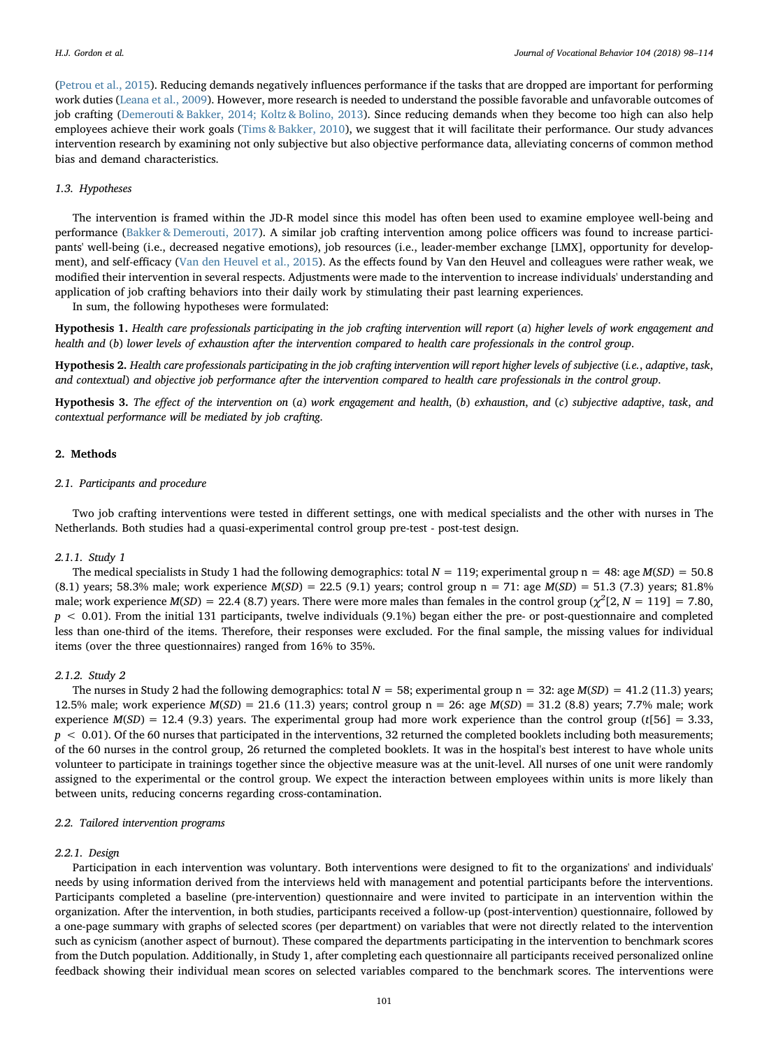([Petrou et al., 2015](#page-16-15)). Reducing demands negatively influences performance if the tasks that are dropped are important for performing work duties ([Leana et al., 2009\)](#page-16-9). However, more research is needed to understand the possible favorable and unfavorable outcomes of job crafting [\(Demerouti & Bakker, 2014; Koltz & Bolino, 2013](#page-15-3)). Since reducing demands when they become too high can also help employees achieve their work goals [\(Tims & Bakker, 2010](#page-16-18)), we suggest that it will facilitate their performance. Our study advances intervention research by examining not only subjective but also objective performance data, alleviating concerns of common method bias and demand characteristics.

#### 1.3. Hypotheses

The intervention is framed within the JD-R model since this model has often been used to examine employee well-being and performance ([Bakker & Demerouti, 2017](#page-15-15)). A similar job crafting intervention among police officers was found to increase participants' well-being (i.e., decreased negative emotions), job resources (i.e., leader-member exchange [LMX], opportunity for development), and self-efficacy ([Van den Heuvel et al., 2015\)](#page-17-2). As the effects found by Van den Heuvel and colleagues were rather weak, we modified their intervention in several respects. Adjustments were made to the intervention to increase individuals' understanding and application of job crafting behaviors into their daily work by stimulating their past learning experiences.

In sum, the following hypotheses were formulated:

<span id="page-4-0"></span>Hypothesis 1. Health care professionals participating in the job crafting intervention will report (a) higher levels of work engagement and health and (b) lower levels of exhaustion after the intervention compared to health care professionals in the control group.

<span id="page-4-1"></span>Hypothesis 2. Health care professionals participating in the job crafting intervention will report higher levels of subjective (i.e., adaptive, task, and contextual) and objective job performance after the intervention compared to health care professionals in the control group.

<span id="page-4-2"></span>Hypothesis 3. The effect of the intervention on (a) work engagement and health, (b) exhaustion, and (c) subjective adaptive, task, and contextual performance will be mediated by job crafting.

#### 2. Methods

#### 2.1. Participants and procedure

Two job crafting interventions were tested in different settings, one with medical specialists and the other with nurses in The Netherlands. Both studies had a quasi-experimental control group pre-test - post-test design.

#### 2.1.1. Study 1

The medical specialists in Study 1 had the following demographics: total  $N = 119$ ; experimental group n = 48: age  $M(SD) = 50.8$ (8.1) years; 58.3% male; work experience  $M(SD) = 22.5$  (9.1) years; control group n = 71: age  $M(SD) = 51.3$  (7.3) years; 81.8% male; work experience  $M(SD) = 22.4$  (8.7) years. There were more males than females in the control group ( $\chi^2$ [2, N = 119] = 7.80,  $p < 0.01$ ). From the initial 131 participants, twelve individuals (9.1%) began either the pre- or post-questionnaire and completed less than one-third of the items. Therefore, their responses were excluded. For the final sample, the missing values for individual items (over the three questionnaires) ranged from 16% to 35%.

#### 2.1.2. Study 2

The nurses in Study 2 had the following demographics: total  $N = 58$ ; experimental group n = 32: age  $M(SD) = 41.2$  (11.3) years; 12.5% male; work experience  $M(SD) = 21.6$  (11.3) years; control group n = 26: age  $M(SD) = 31.2$  (8.8) years; 7.7% male; work experience  $M(SD) = 12.4$  (9.3) years. The experimental group had more work experience than the control group (t[56] = 3.33,  $p < 0.01$ ). Of the 60 nurses that participated in the interventions, 32 returned the completed booklets including both measurements; of the 60 nurses in the control group, 26 returned the completed booklets. It was in the hospital's best interest to have whole units volunteer to participate in trainings together since the objective measure was at the unit-level. All nurses of one unit were randomly assigned to the experimental or the control group. We expect the interaction between employees within units is more likely than between units, reducing concerns regarding cross-contamination.

#### 2.2. Tailored intervention programs

#### 2.2.1. Design

Participation in each intervention was voluntary. Both interventions were designed to fit to the organizations' and individuals' needs by using information derived from the interviews held with management and potential participants before the interventions. Participants completed a baseline (pre-intervention) questionnaire and were invited to participate in an intervention within the organization. After the intervention, in both studies, participants received a follow-up (post-intervention) questionnaire, followed by a one-page summary with graphs of selected scores (per department) on variables that were not directly related to the intervention such as cynicism (another aspect of burnout). These compared the departments participating in the intervention to benchmark scores from the Dutch population. Additionally, in Study 1, after completing each questionnaire all participants received personalized online feedback showing their individual mean scores on selected variables compared to the benchmark scores. The interventions were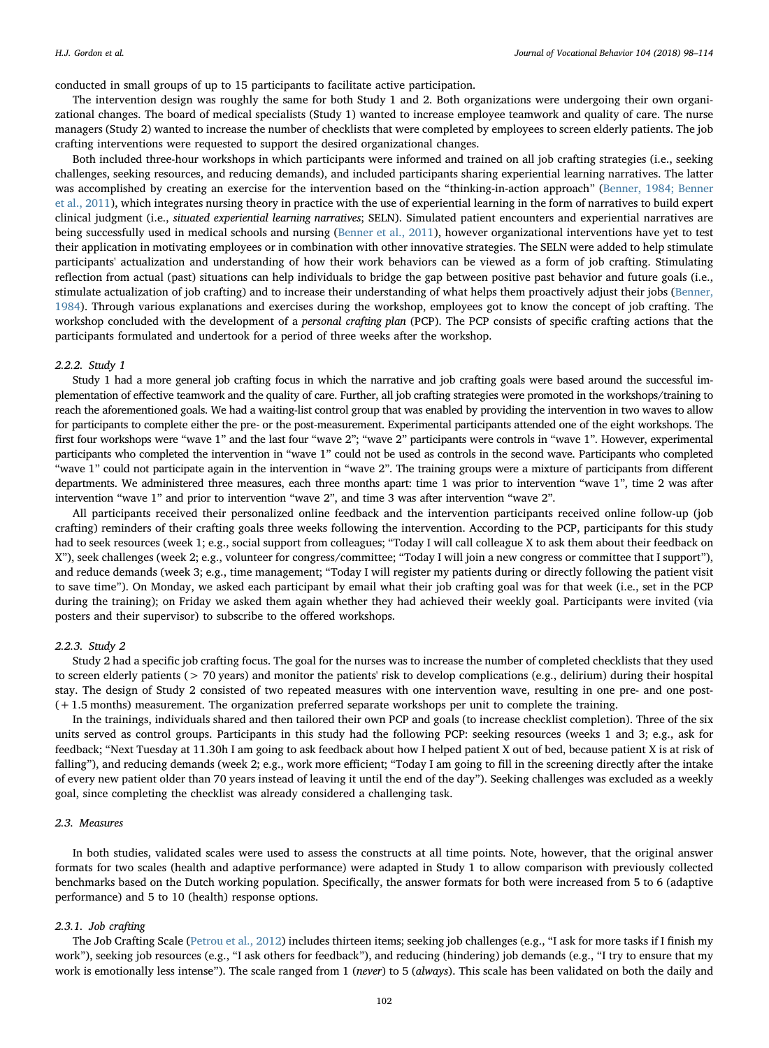conducted in small groups of up to 15 participants to facilitate active participation.

The intervention design was roughly the same for both Study 1 and 2. Both organizations were undergoing their own organizational changes. The board of medical specialists (Study 1) wanted to increase employee teamwork and quality of care. The nurse managers (Study 2) wanted to increase the number of checklists that were completed by employees to screen elderly patients. The job crafting interventions were requested to support the desired organizational changes.

Both included three-hour workshops in which participants were informed and trained on all job crafting strategies (i.e., seeking challenges, seeking resources, and reducing demands), and included participants sharing experiential learning narratives. The latter was accomplished by creating an exercise for the intervention based on the "thinking-in-action approach" [\(Benner, 1984; Benner](#page-15-16) [et al., 2011](#page-15-16)), which integrates nursing theory in practice with the use of experiential learning in the form of narratives to build expert clinical judgment (i.e., situated experiential learning narratives; SELN). Simulated patient encounters and experiential narratives are being successfully used in medical schools and nursing [\(Benner et al., 2011](#page-15-6)), however organizational interventions have yet to test their application in motivating employees or in combination with other innovative strategies. The SELN were added to help stimulate participants' actualization and understanding of how their work behaviors can be viewed as a form of job crafting. Stimulating reflection from actual (past) situations can help individuals to bridge the gap between positive past behavior and future goals (i.e., stimulate actualization of job crafting) and to increase their understanding of what helps them proactively adjust their jobs [\(Benner,](#page-15-16) [1984\)](#page-15-16). Through various explanations and exercises during the workshop, employees got to know the concept of job crafting. The workshop concluded with the development of a *personal crafting plan* (PCP). The PCP consists of specific crafting actions that the participants formulated and undertook for a period of three weeks after the workshop.

#### 2.2.2. Study 1

Study 1 had a more general job crafting focus in which the narrative and job crafting goals were based around the successful implementation of effective teamwork and the quality of care. Further, all job crafting strategies were promoted in the workshops/training to reach the aforementioned goals. We had a waiting-list control group that was enabled by providing the intervention in two waves to allow for participants to complete either the pre- or the post-measurement. Experimental participants attended one of the eight workshops. The first four workshops were "wave 1" and the last four "wave 2"; "wave 2" participants were controls in "wave 1". However, experimental participants who completed the intervention in "wave 1" could not be used as controls in the second wave. Participants who completed "wave 1" could not participate again in the intervention in "wave 2". The training groups were a mixture of participants from different departments. We administered three measures, each three months apart: time 1 was prior to intervention "wave 1", time 2 was after intervention "wave 1" and prior to intervention "wave 2", and time 3 was after intervention "wave 2".

All participants received their personalized online feedback and the intervention participants received online follow-up (job crafting) reminders of their crafting goals three weeks following the intervention. According to the PCP, participants for this study had to seek resources (week 1; e.g., social support from colleagues; "Today I will call colleague X to ask them about their feedback on X"), seek challenges (week 2; e.g., volunteer for congress/committee; "Today I will join a new congress or committee that I support"), and reduce demands (week 3; e.g., time management; "Today I will register my patients during or directly following the patient visit to save time"). On Monday, we asked each participant by email what their job crafting goal was for that week (i.e., set in the PCP during the training); on Friday we asked them again whether they had achieved their weekly goal. Participants were invited (via posters and their supervisor) to subscribe to the offered workshops.

#### 2.2.3. Study 2

Study 2 had a specific job crafting focus. The goal for the nurses was to increase the number of completed checklists that they used to screen elderly patients (> 70 years) and monitor the patients' risk to develop complications (e.g., delirium) during their hospital stay. The design of Study 2 consisted of two repeated measures with one intervention wave, resulting in one pre- and one post- (+1.5 months) measurement. The organization preferred separate workshops per unit to complete the training.

In the trainings, individuals shared and then tailored their own PCP and goals (to increase checklist completion). Three of the six units served as control groups. Participants in this study had the following PCP: seeking resources (weeks 1 and 3; e.g., ask for feedback; "Next Tuesday at 11.30h I am going to ask feedback about how I helped patient X out of bed, because patient X is at risk of falling"), and reducing demands (week 2; e.g., work more efficient; "Today I am going to fill in the screening directly after the intake of every new patient older than 70 years instead of leaving it until the end of the day"). Seeking challenges was excluded as a weekly goal, since completing the checklist was already considered a challenging task.

#### 2.3. Measures

In both studies, validated scales were used to assess the constructs at all time points. Note, however, that the original answer formats for two scales (health and adaptive performance) were adapted in Study 1 to allow comparison with previously collected benchmarks based on the Dutch working population. Specifically, the answer formats for both were increased from 5 to 6 (adaptive performance) and 5 to 10 (health) response options.

#### 2.3.1. Job crafting

The Job Crafting Scale ([Petrou et al., 2012](#page-16-6)) includes thirteen items; seeking job challenges (e.g., "I ask for more tasks if I finish my work"), seeking job resources (e.g., "I ask others for feedback"), and reducing (hindering) job demands (e.g., "I try to ensure that my work is emotionally less intense"). The scale ranged from 1 (never) to 5 (always). This scale has been validated on both the daily and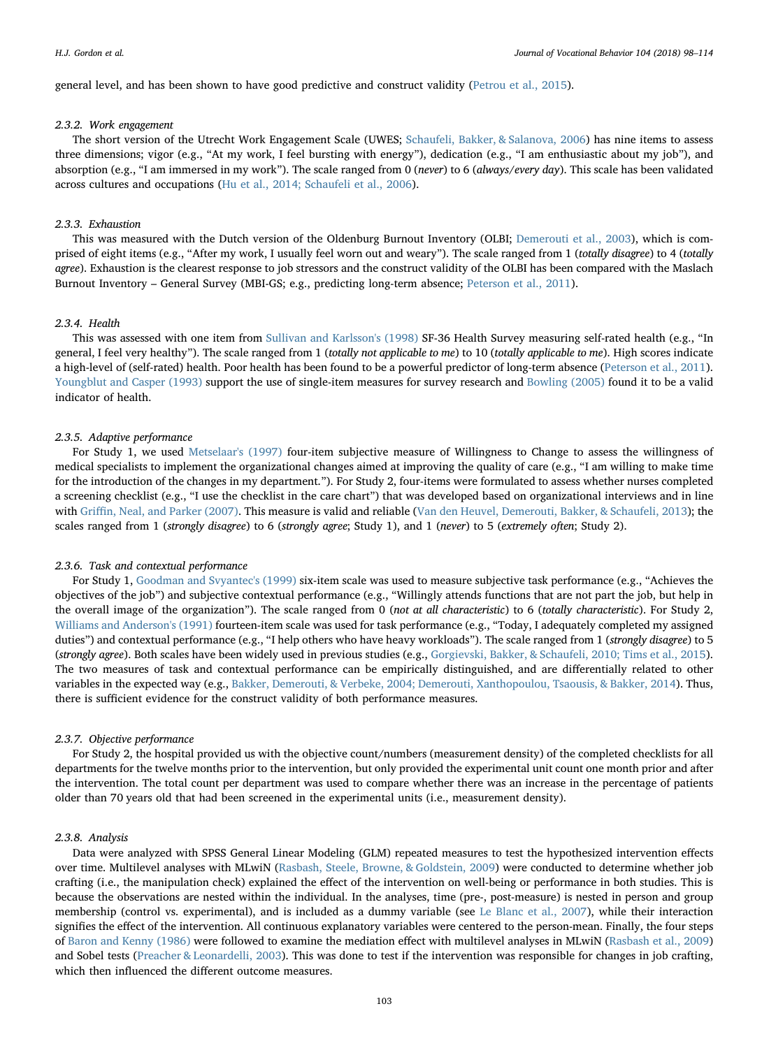general level, and has been shown to have good predictive and construct validity ([Petrou et al., 2015\)](#page-16-15).

#### 2.3.2. Work engagement

The short version of the Utrecht Work Engagement Scale (UWES; [Schaufeli, Bakker, & Salanova, 2006\)](#page-16-22) has nine items to assess three dimensions; vigor (e.g., "At my work, I feel bursting with energy"), dedication (e.g., "I am enthusiastic about my job"), and absorption (e.g., "I am immersed in my work"). The scale ranged from 0 (never) to 6 (always/every day). This scale has been validated across cultures and occupations [\(Hu et al., 2014; Schaufeli et al., 2006\)](#page-16-23).

#### 2.3.3. Exhaustion

This was measured with the Dutch version of the Oldenburg Burnout Inventory (OLBI; [Demerouti et al., 2003\)](#page-15-12), which is comprised of eight items (e.g., "After my work, I usually feel worn out and weary"). The scale ranged from 1 (totally disagree) to 4 (totally agree). Exhaustion is the clearest response to job stressors and the construct validity of the OLBI has been compared with the Maslach Burnout Inventory – General Survey (MBI-GS; e.g., predicting long-term absence; [Peterson et al., 2011\)](#page-16-24).

#### 2.3.4. Health

This was assessed with one item from [Sullivan and Karlsson's \(1998\)](#page-16-25) SF-36 Health Survey measuring self-rated health (e.g., "In general, I feel very healthy"). The scale ranged from 1 (totally not applicable to me) to 10 (totally applicable to me). High scores indicate a high-level of (self-rated) health. Poor health has been found to be a powerful predictor of long-term absence [\(Peterson et al., 2011](#page-16-24)). [Youngblut and Casper \(1993\)](#page-17-6) support the use of single-item measures for survey research and [Bowling \(2005\)](#page-15-17) found it to be a valid indicator of health.

#### 2.3.5. Adaptive performance

For Study 1, we used [Metselaar's \(1997\)](#page-16-21) four-item subjective measure of Willingness to Change to assess the willingness of medical specialists to implement the organizational changes aimed at improving the quality of care (e.g., "I am willing to make time for the introduction of the changes in my department."). For Study 2, four-items were formulated to assess whether nurses completed a screening checklist (e.g., "I use the checklist in the care chart") that was developed based on organizational interviews and in line with Griffi[n, Neal, and Parker \(2007\).](#page-16-26) This measure is valid and reliable [\(Van den Heuvel, Demerouti, Bakker, & Schaufeli, 2013\)](#page-17-7); the scales ranged from 1 (strongly disagree) to 6 (strongly agree; Study 1), and 1 (never) to 5 (extremely often; Study 2).

#### 2.3.6. Task and contextual performance

For Study 1, [Goodman and Svyantec's \(1999\)](#page-16-27) six-item scale was used to measure subjective task performance (e.g., "Achieves the objectives of the job") and subjective contextual performance (e.g., "Willingly attends functions that are not part the job, but help in the overall image of the organization"). The scale ranged from 0 (not at all characteristic) to 6 (totally characteristic). For Study 2, [Williams and Anderson's \(1991\)](#page-17-5) fourteen-item scale was used for task performance (e.g., "Today, I adequately completed my assigned duties") and contextual performance (e.g., "I help others who have heavy workloads"). The scale ranged from 1 (strongly disagree) to 5 (strongly agree). Both scales have been widely used in previous studies (e.g., [Gorgievski, Bakker, & Schaufeli, 2010; Tims et al., 2015](#page-16-28)). The two measures of task and contextual performance can be empirically distinguished, and are differentially related to other variables in the expected way (e.g., [Bakker, Demerouti, & Verbeke, 2004; Demerouti, Xanthopoulou, Tsaousis, & Bakker, 2014\)](#page-15-18). Thus, there is sufficient evidence for the construct validity of both performance measures.

#### 2.3.7. Objective performance

For Study 2, the hospital provided us with the objective count/numbers (measurement density) of the completed checklists for all departments for the twelve months prior to the intervention, but only provided the experimental unit count one month prior and after the intervention. The total count per department was used to compare whether there was an increase in the percentage of patients older than 70 years old that had been screened in the experimental units (i.e., measurement density).

#### 2.3.8. Analysis

Data were analyzed with SPSS General Linear Modeling (GLM) repeated measures to test the hypothesized intervention effects over time. Multilevel analyses with MLwiN ([Rasbash, Steele, Browne, & Goldstein, 2009\)](#page-16-29) were conducted to determine whether job crafting (i.e., the manipulation check) explained the effect of the intervention on well-being or performance in both studies. This is because the observations are nested within the individual. In the analyses, time (pre-, post-measure) is nested in person and group membership (control vs. experimental), and is included as a dummy variable (see [Le Blanc et al., 2007\)](#page-16-2), while their interaction signifies the effect of the intervention. All continuous explanatory variables were centered to the person-mean. Finally, the four steps of [Baron and Kenny \(1986\)](#page-15-19) were followed to examine the mediation effect with multilevel analyses in MLwiN [\(Rasbash et al., 2009](#page-16-29)) and Sobel tests [\(Preacher & Leonardelli, 2003](#page-16-30)). This was done to test if the intervention was responsible for changes in job crafting, which then influenced the different outcome measures.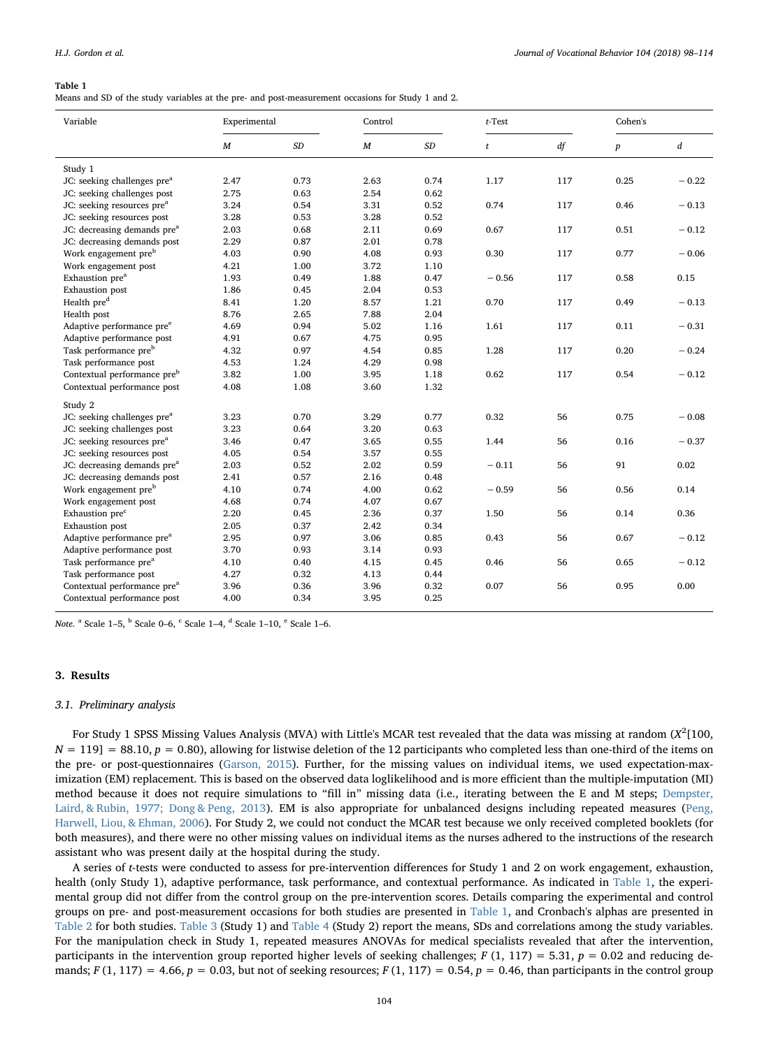<span id="page-7-0"></span>Means and SD of the study variables at the pre- and post-measurement occasions for Study 1 and 2.

| Variable                                | Experimental |      | Control |           | $t$ -Test |     | Cohen's          |         |
|-----------------------------------------|--------------|------|---------|-----------|-----------|-----|------------------|---------|
|                                         | M            | SD   | M       | $\cal SD$ | t         | df  | $\boldsymbol{p}$ | d       |
| Study 1                                 |              |      |         |           |           |     |                  |         |
| JC: seeking challenges pre <sup>a</sup> | 2.47         | 0.73 | 2.63    | 0.74      | 1.17      | 117 | 0.25             | $-0.22$ |
| JC: seeking challenges post             | 2.75         | 0.63 | 2.54    | 0.62      |           |     |                  |         |
| JC: seeking resources pre <sup>a</sup>  | 3.24         | 0.54 | 3.31    | 0.52      | 0.74      | 117 | 0.46             | $-0.13$ |
| JC: seeking resources post              | 3.28         | 0.53 | 3.28    | 0.52      |           |     |                  |         |
| JC: decreasing demands pre <sup>a</sup> | 2.03         | 0.68 | 2.11    | 0.69      | 0.67      | 117 | 0.51             | $-0.12$ |
| JC: decreasing demands post             | 2.29         | 0.87 | 2.01    | 0.78      |           |     |                  |         |
| Work engagement pre <sup>b</sup>        | 4.03         | 0.90 | 4.08    | 0.93      | 0.30      | 117 | 0.77             | $-0.06$ |
| Work engagement post                    | 4.21         | 1.00 | 3.72    | 1.10      |           |     |                  |         |
| Exhaustion pre <sup>a</sup>             | 1.93         | 0.49 | 1.88    | 0.47      | $-0.56$   | 117 | 0.58             | 0.15    |
| <b>Exhaustion</b> post                  | 1.86         | 0.45 | 2.04    | 0.53      |           |     |                  |         |
| Health pre <sup>d</sup>                 | 8.41         | 1.20 | 8.57    | 1.21      | 0.70      | 117 | 0.49             | $-0.13$ |
| Health post                             | 8.76         | 2.65 | 7.88    | 2.04      |           |     |                  |         |
| Adaptive performance pre <sup>e</sup>   | 4.69         | 0.94 | 5.02    | 1.16      | 1.61      | 117 | 0.11             | $-0.31$ |
| Adaptive performance post               | 4.91         | 0.67 | 4.75    | 0.95      |           |     |                  |         |
| Task performance pre <sup>b</sup>       | 4.32         | 0.97 | 4.54    | 0.85      | 1.28      | 117 | 0.20             | $-0.24$ |
| Task performance post                   | 4.53         | 1.24 | 4.29    | 0.98      |           |     |                  |         |
| Contextual performance pre <sup>b</sup> | 3.82         | 1.00 | 3.95    | 1.18      | 0.62      | 117 | 0.54             | $-0.12$ |
| Contextual performance post             | 4.08         | 1.08 | 3.60    | 1.32      |           |     |                  |         |
| Study 2                                 |              |      |         |           |           |     |                  |         |
| JC: seeking challenges pre <sup>a</sup> | 3.23         | 0.70 | 3.29    | 0.77      | 0.32      | 56  | 0.75             | $-0.08$ |
| JC: seeking challenges post             | 3.23         | 0.64 | 3.20    | 0.63      |           |     |                  |         |
| JC: seeking resources pre <sup>a</sup>  | 3.46         | 0.47 | 3.65    | 0.55      | 1.44      | 56  | 0.16             | $-0.37$ |
| JC: seeking resources post              | 4.05         | 0.54 | 3.57    | 0.55      |           |     |                  |         |
| JC: decreasing demands pre <sup>a</sup> | 2.03         | 0.52 | 2.02    | 0.59      | $-0.11$   | 56  | 91               | 0.02    |
| JC: decreasing demands post             | 2.41         | 0.57 | 2.16    | 0.48      |           |     |                  |         |
| Work engagement pre <sup>b</sup>        | 4.10         | 0.74 | 4.00    | 0.62      | $-0.59$   | 56  | 0.56             | 0.14    |
| Work engagement post                    | 4.68         | 0.74 | 4.07    | 0.67      |           |     |                  |         |
| Exhaustion pre <sup>c</sup>             | 2.20         | 0.45 | 2.36    | 0.37      | 1.50      | 56  | 0.14             | 0.36    |
| Exhaustion post                         | 2.05         | 0.37 | 2.42    | 0.34      |           |     |                  |         |
| Adaptive performance pre <sup>a</sup>   | 2.95         | 0.97 | 3.06    | 0.85      | 0.43      | 56  | 0.67             | $-0.12$ |
| Adaptive performance post               | 3.70         | 0.93 | 3.14    | 0.93      |           |     |                  |         |
| Task performance pre <sup>a</sup>       | 4.10         | 0.40 | 4.15    | 0.45      | 0.46      | 56  | 0.65             | $-0.12$ |
| Task performance post                   | 4.27         | 0.32 | 4.13    | 0.44      |           |     |                  |         |
| Contextual performance pre <sup>a</sup> | 3.96         | 0.36 | 3.96    | 0.32      | 0.07      | 56  | 0.95             | 0.00    |
| Contextual performance post             | 4.00         | 0.34 | 3.95    | 0.25      |           |     |                  |         |

Note.  $a$  Scale 1–5,  $b$  Scale 0–6,  $c$  Scale 1–4,  $d$  Scale 1–10,  $e$  Scale 1–6.

#### 3. Results

#### 3.1. Preliminary analysis

For Study 1 SPSS Missing Values Analysis (MVA) with Little's MCAR test revealed that the data was missing at random  $(X^2[100,$  $N = 119$ ] = 88.10,  $p = 0.80$ ), allowing for listwise deletion of the 12 participants who completed less than one-third of the items on the pre- or post-questionnaires [\(Garson, 2015\)](#page-16-31). Further, for the missing values on individual items, we used expectation-maximization (EM) replacement. This is based on the observed data loglikelihood and is more efficient than the multiple-imputation (MI) method because it does not require simulations to "fill in" missing data (i.e., iterating between the E and M steps; [Dempster,](#page-15-20) [Laird, & Rubin, 1977; Dong & Peng, 2013](#page-15-20)). EM is also appropriate for unbalanced designs including repeated measures ([Peng,](#page-16-32) [Harwell, Liou, & Ehman, 2006\)](#page-16-32). For Study 2, we could not conduct the MCAR test because we only received completed booklets (for both measures), and there were no other missing values on individual items as the nurses adhered to the instructions of the research assistant who was present daily at the hospital during the study.

A series of t-tests were conducted to assess for pre-intervention differences for Study 1 and 2 on work engagement, exhaustion, health (only Study 1), adaptive performance, task performance, and contextual performance. As indicated in [Table 1](#page-7-0), the experimental group did not differ from the control group on the pre-intervention scores. Details comparing the experimental and control groups on pre- and post-measurement occasions for both studies are presented in [Table 1,](#page-7-0) and Cronbach's alphas are presented in [Table 2](#page-8-0) for both studies. [Table 3](#page-9-0) (Study 1) and [Table 4](#page-10-0) (Study 2) report the means, SDs and correlations among the study variables. For the manipulation check in Study 1, repeated measures ANOVAs for medical specialists revealed that after the intervention, participants in the intervention group reported higher levels of seeking challenges; F  $(1, 117) = 5.31$ ,  $p = 0.02$  and reducing demands;  $F(1, 117) = 4.66$ ,  $p = 0.03$ , but not of seeking resources;  $F(1, 117) = 0.54$ ,  $p = 0.46$ , than participants in the control group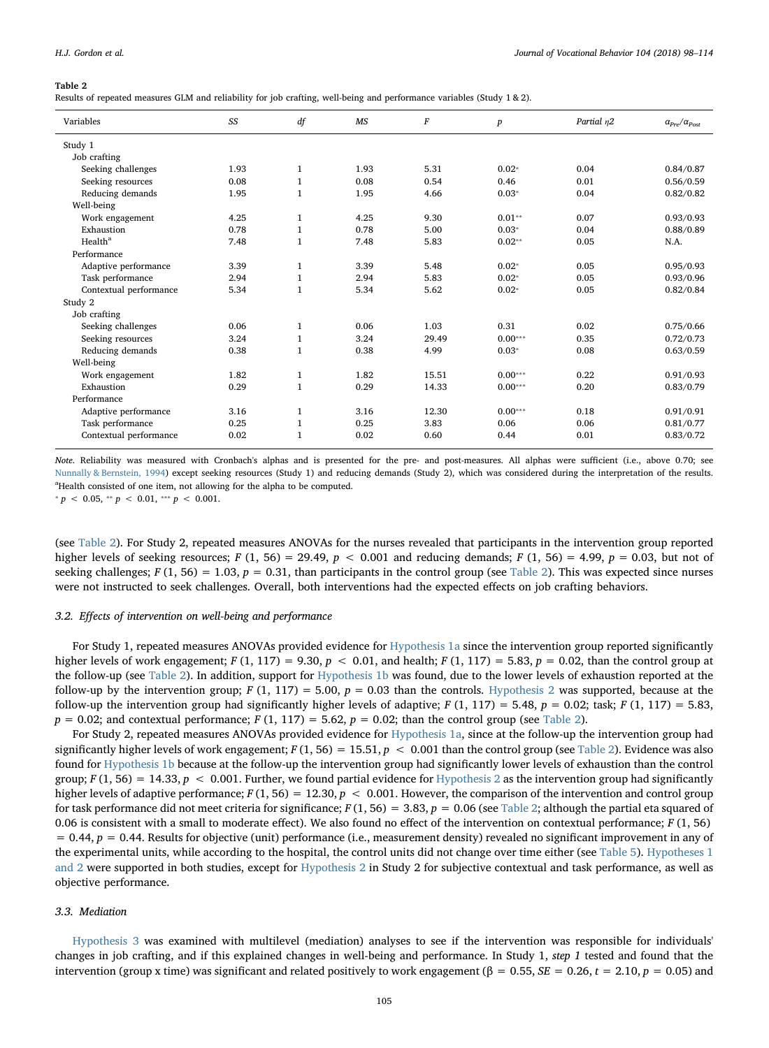<span id="page-8-0"></span>Results of repeated measures GLM and reliability for job crafting, well-being and performance variables (Study 1 & 2).

| Variables              | SS   | df           | MS   | $\boldsymbol{F}$ | $\boldsymbol{p}$ | Partial n2 | $\alpha_{Pre}/\alpha_{Post}$ |
|------------------------|------|--------------|------|------------------|------------------|------------|------------------------------|
| Study 1                |      |              |      |                  |                  |            |                              |
| Job crafting           |      |              |      |                  |                  |            |                              |
| Seeking challenges     | 1.93 | $\mathbf{1}$ | 1.93 | 5.31             | $0.02*$          | 0.04       | 0.84/0.87                    |
| Seeking resources      | 0.08 | $\mathbf{1}$ | 0.08 | 0.54             | 0.46             | 0.01       | 0.56/0.59                    |
| Reducing demands       | 1.95 | $\mathbf{1}$ | 1.95 | 4.66             | $0.03*$          | 0.04       | 0.82/0.82                    |
| Well-being             |      |              |      |                  |                  |            |                              |
| Work engagement        | 4.25 | $\mathbf{1}$ | 4.25 | 9.30             | $0.01**$         | 0.07       | 0.93/0.93                    |
| Exhaustion             | 0.78 | $\mathbf{1}$ | 0.78 | 5.00             | $0.03*$          | 0.04       | 0.88/0.89                    |
| Health <sup>a</sup>    | 7.48 | $\mathbf{1}$ | 7.48 | 5.83             | $0.02**$         | 0.05       | N.A.                         |
| Performance            |      |              |      |                  |                  |            |                              |
| Adaptive performance   | 3.39 | $\mathbf{1}$ | 3.39 | 5.48             | $0.02*$          | 0.05       | 0.95/0.93                    |
| Task performance       | 2.94 | $\mathbf{1}$ | 2.94 | 5.83             | $0.02*$          | 0.05       | 0.93/0.96                    |
| Contextual performance | 5.34 | $\mathbf{1}$ | 5.34 | 5.62             | $0.02*$          | 0.05       | 0.82/0.84                    |
| Study 2                |      |              |      |                  |                  |            |                              |
| Job crafting           |      |              |      |                  |                  |            |                              |
| Seeking challenges     | 0.06 | $\mathbf{1}$ | 0.06 | 1.03             | 0.31             | 0.02       | 0.75/0.66                    |
| Seeking resources      | 3.24 | $\mathbf{1}$ | 3.24 | 29.49            | $0.00***$        | 0.35       | 0.72/0.73                    |
| Reducing demands       | 0.38 | $\mathbf{1}$ | 0.38 | 4.99             | $0.03*$          | 0.08       | 0.63/0.59                    |
| Well-being             |      |              |      |                  |                  |            |                              |
| Work engagement        | 1.82 | $\mathbf{1}$ | 1.82 | 15.51            | $0.00***$        | 0.22       | 0.91/0.93                    |
| Exhaustion             | 0.29 | $\mathbf{1}$ | 0.29 | 14.33            | $0.00***$        | 0.20       | 0.83/0.79                    |
| Performance            |      |              |      |                  |                  |            |                              |
| Adaptive performance   | 3.16 | $\mathbf{1}$ | 3.16 | 12.30            | $0.00***$        | 0.18       | 0.91/0.91                    |
| Task performance       | 0.25 | $\mathbf{1}$ | 0.25 | 3.83             | 0.06             | 0.06       | 0.81/0.77                    |
| Contextual performance | 0.02 | $\mathbf{1}$ | 0.02 | 0.60             | 0.44             | 0.01       | 0.83/0.72                    |

Note. Reliability was measured with Cronbach's alphas and is presented for the pre- and post-measures. All alphas were sufficient (i.e., above 0.70; see [Nunnally & Bernstein, 1994](#page-16-33)) except seeking resources (Study 1) and reducing demands (Study 2), which was considered during the interpretation of the results. <sup>a</sup>Health consisted of one item, not allowing for the alpha to be computed.

 $* p < 0.05, ** p < 0.01, ** p < 0.001.$ 

(see [Table 2](#page-8-0)). For Study 2, repeated measures ANOVAs for the nurses revealed that participants in the intervention group reported higher levels of seeking resources; F (1, 56) = 29.49,  $p < 0.001$  and reducing demands; F (1, 56) = 4.99,  $p = 0.03$ , but not of seeking challenges;  $F(1, 56) = 1.03$ ,  $p = 0.31$ , than participants in the control group (see [Table 2\)](#page-8-0). This was expected since nurses were not instructed to seek challenges. Overall, both interventions had the expected effects on job crafting behaviors.

#### 3.2. Effects of intervention on well-being and performance

For Study 1, repeated measures ANOVAs provided evidence for [Hypothesis 1a](#page-4-0) since the intervention group reported significantly higher levels of work engagement;  $F(1, 117) = 9.30$ ,  $p < 0.01$ , and health;  $F(1, 117) = 5.83$ ,  $p = 0.02$ , than the control group at the follow-up (see [Table 2\)](#page-8-0). In addition, support for [Hypothesis 1b](#page-4-0) was found, due to the lower levels of exhaustion reported at the follow-up by the intervention group;  $F(1, 117) = 5.00$ ,  $p = 0.03$  than the controls. [Hypothesis 2](#page-4-1) was supported, because at the follow-up the intervention group had significantly higher levels of adaptive;  $F(1, 117) = 5.48$ ,  $p = 0.02$ ; task;  $F(1, 117) = 5.83$ ,  $p = 0.02$ ; and contextual performance;  $F(1, 117) = 5.62$ ,  $p = 0.02$ ; than the control group (see [Table 2](#page-8-0)).

For Study 2, repeated measures ANOVAs provided evidence for [Hypothesis 1a,](#page-4-0) since at the follow-up the intervention group had significantly higher levels of work engagement;  $F(1, 56) = 15.51$ ,  $p < 0.001$  than the control group (see [Table 2](#page-8-0)). Evidence was also found for [Hypothesis 1b](#page-4-0) because at the follow-up the intervention group had significantly lower levels of exhaustion than the control group;  $F(1, 56) = 14.33$ ,  $p < 0.001$ . Further, we found partial evidence for [Hypothesis 2](#page-4-1) as the intervention group had significantly higher levels of adaptive performance;  $F(1, 56) = 12.30, p < 0.001$ . However, the comparison of the intervention and control group for task performance did not meet criteria for significance;  $F(1, 56) = 3.83$ ,  $p = 0.06$  (see [Table 2;](#page-8-0) although the partial eta squared of 0.06 is consistent with a small to moderate effect). We also found no effect of the intervention on contextual performance;  $F(1, 56)$  $= 0.44$ ,  $p = 0.44$ . Results for objective (unit) performance (i.e., measurement density) revealed no significant improvement in any of the experimental units, while according to the hospital, the control units did not change over time either (see [Table 5\)](#page-11-0). [Hypotheses 1](#page-4-0) [and 2](#page-4-0) were supported in both studies, except for [Hypothesis 2](#page-4-1) in Study 2 for subjective contextual and task performance, as well as objective performance.

#### 3.3. Mediation

[Hypothesis 3](#page-4-2) was examined with multilevel (mediation) analyses to see if the intervention was responsible for individuals' changes in job crafting, and if this explained changes in well-being and performance. In Study 1, step 1 tested and found that the intervention (group x time) was significant and related positively to work engagement (β = 0.55, *SE* = 0.26, *t* = 2.10, *p* = 0.05) and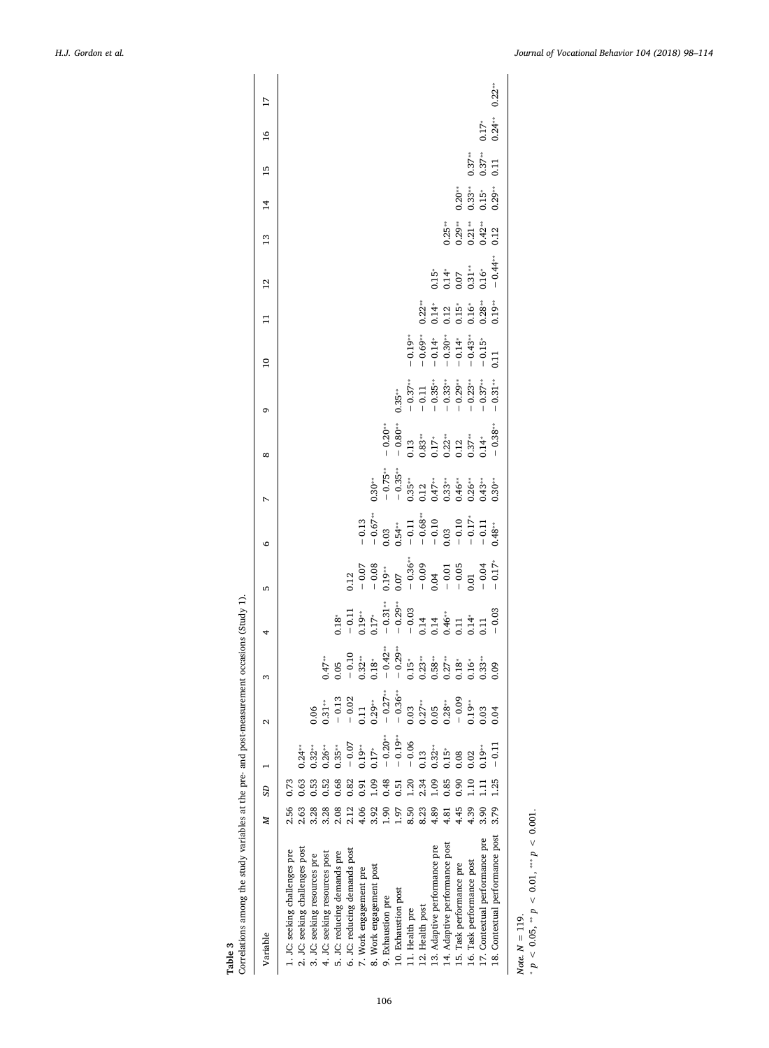<span id="page-9-0"></span>

| Variable                                                                                                                                                                                                                                                                                                                                                                                                                                                                                                                                               | Z                                                                                                                                                                 | 3D                                                                                                                                        |                                                                                                                                                                                                   | 2                                                                                                                                                                                          | S                                                                                                                                                                                                                                                                                                                      | 4                                                                                                                                                                                                                                                                                                                                                | 5                                                                                                                                                                                                                                                                               | O | $\infty$                                                                                                                                                                                                                                                                                                                                     | o                                                                                                                   | $\overline{a}$                                                                                                                     | $\overline{1}$                                                              | $\overline{12}$                                                                                                           | $\frac{3}{2}$                                                       | $\overline{1}$                                                                                                                  | 15                                                    | $\frac{6}{1}$                   | $\overline{17}$ |
|--------------------------------------------------------------------------------------------------------------------------------------------------------------------------------------------------------------------------------------------------------------------------------------------------------------------------------------------------------------------------------------------------------------------------------------------------------------------------------------------------------------------------------------------------------|-------------------------------------------------------------------------------------------------------------------------------------------------------------------|-------------------------------------------------------------------------------------------------------------------------------------------|---------------------------------------------------------------------------------------------------------------------------------------------------------------------------------------------------|--------------------------------------------------------------------------------------------------------------------------------------------------------------------------------------------|------------------------------------------------------------------------------------------------------------------------------------------------------------------------------------------------------------------------------------------------------------------------------------------------------------------------|--------------------------------------------------------------------------------------------------------------------------------------------------------------------------------------------------------------------------------------------------------------------------------------------------------------------------------------------------|---------------------------------------------------------------------------------------------------------------------------------------------------------------------------------------------------------------------------------------------------------------------------------|---|----------------------------------------------------------------------------------------------------------------------------------------------------------------------------------------------------------------------------------------------------------------------------------------------------------------------------------------------|---------------------------------------------------------------------------------------------------------------------|------------------------------------------------------------------------------------------------------------------------------------|-----------------------------------------------------------------------------|---------------------------------------------------------------------------------------------------------------------------|---------------------------------------------------------------------|---------------------------------------------------------------------------------------------------------------------------------|-------------------------------------------------------|---------------------------------|-----------------|
| 18. Contextual performance post<br>17. Contextual performance pre<br>14. Adaptive performance post<br>13. Adaptive performance pre<br>2. JC: seeking challenges post<br>6. JC: reducing demands post<br>JC: seeking challenges pre<br>5. JC: reducing demands pre<br>4. JC: seeking resources post<br>3. JC: seeking resources pre<br>16. Task performance post<br>15. Task performance pre<br>8. Work engagement post<br>7. Work engagement pre<br>10. Exhaustion post<br>9. Exhaustion pre<br>12. Health post<br>11. Health pre<br>Note. $N = 119$ . | 2.56<br>2.63<br>3.28<br>3.79<br>3.28<br>2.12<br>3.92<br>4.45<br>4.39<br>2.08<br>4.06<br>8.50<br>8.23<br>4.89<br>$\frac{3.90}{2}$<br>$\frac{6}{1}$<br>1.97<br>1.81 | 0.63<br>0.52<br>0.53<br>0.68<br>0.09<br>1.25<br>0.82<br>0.48<br>1.20<br>2.34<br>0.09<br>0.85<br>0.90<br>0.73<br>1.10<br>0.51<br>0.91<br>Ξ | $-0.19***$<br>$-0.20***$<br>$-0.06$<br>$-0.07$<br>$0.32***$<br>$0.19***$<br>$-0.11$<br>$0.24***$<br>$0.35***$<br>$0.26***$<br>$0.32***$<br>$0.19**$<br>$0.17*$<br>$0.15*$<br>0.13<br>0.08<br>0.02 | $0.29**$<br>$-0.27**$<br>$-0.36**$<br>$-0.13$<br>$-0.02$<br>$-0.09$<br>$0.03$<br>$0.27**$<br>$0.05$<br>$0.28***$<br>$0.19***$<br>$0.31***$<br>0.11<br>0.03<br>0.06<br>0.05<br>0.03<br>0.04 | $\vec{A}_7^*$<br>$\vec{B}_7$ , $\vec{C}_8$ , $\vec{C}_9$ , $\vec{C}_9$ , $\vec{C}_9$ , $\vec{C}_9$ , $\vec{C}_9$ , $\vec{C}_9$ , $\vec{C}_9$ , $\vec{C}_9$ , $\vec{C}_9$ , $\vec{C}_9$ , $\vec{C}_9$ , $\vec{C}_9$ , $\vec{C}_9$ , $\vec{C}_9$ , $\vec{C}_9$ , $\vec{C}_9$ , $\vec{C}_9$ , $\vec{C}_9$ , $\vec{C}_9$ , | $\begin{array}{l} 1.8 \\ -0.11 \\ -0.19 \\ -0.37 \\ -0.32 \\ -0.32 \\ -0.33 \\ -0.39 \\ -0.32 \\ -0.33 \\ -0.34 \\ -0.03 \\ -0.01 \\ -0.03 \\ -0.03 \\ -0.03 \\ -0.03 \\ -0.03 \\ -0.03 \\ -0.03 \\ -0.03 \\ -0.03 \\ -0.03 \\ -0.03 \\ -0.03 \\ -0.03 \\ -0.03 \\ -0.03 \\ -0.03 \\ -0.03 \\ -0.03 \\ -0.03 \\ -0.03 \\ -0.03 \\ -0.03 \\ -0.0$ | $\begin{array}{cccccc}\n 0.12 & 0.02 & 0.03 & 0.03 & 0.03 & 0.03 & 0.03 & 0.03 & 0.03 & 0.03 & 0.03 & 0.03 & 0.03 & 0.03 & 0.03 & 0.03 & 0.03 & 0.03 & 0.03 & 0.03 & 0.03 & 0.03 & 0.03 & 0.03 & 0.03 & 0.03 & 0.03 & 0.03 & 0.03 & 0.03 & 0.03 & 0.03 & 0.03 & 0.03 & 0.03 & $ |   | $\begin{array}{r} \ast \ast \\ - \  \  0.30 \\ - \  \  0.33 \\ - \  \  0.33 \\ - \  \  0.37 \\ - \  \  0.32 \\ - \  \  0.13 \\ - \  \  0.37 \\ - \  \  0.33 \\ - \  \  0.38 \\ - \  \  0.33 \\ - \  \  0.33 \\ - \  \  0.33 \\ - \  \  0.33 \\ - \  \  0.33 \\ - \  \  0.33 \\ - \  \  0.33 \\ - \  \  0.33 \\ - \  \  0.33 \\ - \  \  0.33$ | $0.35$ **<br>$- 0.37$ **<br>$- 0.11$<br>$- 0.35$ ***<br>$- 0.35$ ***<br>$- 0.23$ ***<br>$- 0.23$ ***<br>$- 0.23$ ** | $\begin{array}{r} -0.19** \ -0.69** \ -0.69** \ -0.14* \ -0.30* \ -0.14* \ -0.14* \ -0.14* \ -0.15* \ -0.15* \ -0.15* \end{array}$ | $23.71 + 21.72 + 21.73$<br>$3.71 + 21.73 + 21.73$<br>$3.71 + 21.73 + 21.73$ | $0.15$ <sup>*</sup><br>$0.14$ <sup>*</sup><br>$0.07$<br>$0.31$ <sup>*</sup><br>$0.64$ <sup>*</sup><br>$0.44$ <sup>*</sup> | $\begin{array}{c} 1.25 \\ 0.29 \\ 0.21 \\ 0.42 \\ 0.12 \end{array}$ | ភ្លុំ :<br>ភ្លុំ : ភ្នំ :<br>ភ្នំ : ភ្នំ : ភ្នំ :<br>ភ្នំ : ភ្នំ : ភ្នំ : ភ្នំ : ភ្នំ : ភ្នំ : ភ្នំ : ភ្នំ : ភ្នំ : ភ្នំ : ភ្នំ | $\begin{array}{c} 0.37** \ 0.37** \ 0.11 \end{array}$ | $0.17$ <sup>*</sup><br>0.24 *** | $0.22***$       |
| * $p < 0.05$ , ** $p < 0.01$ , *** $p < 0.001$ .                                                                                                                                                                                                                                                                                                                                                                                                                                                                                                       |                                                                                                                                                                   |                                                                                                                                           |                                                                                                                                                                                                   |                                                                                                                                                                                            |                                                                                                                                                                                                                                                                                                                        |                                                                                                                                                                                                                                                                                                                                                  |                                                                                                                                                                                                                                                                                 |   |                                                                                                                                                                                                                                                                                                                                              |                                                                                                                     |                                                                                                                                    |                                                                             |                                                                                                                           |                                                                     |                                                                                                                                 |                                                       |                                 |                 |
|                                                                                                                                                                                                                                                                                                                                                                                                                                                                                                                                                        |                                                                                                                                                                   |                                                                                                                                           |                                                                                                                                                                                                   |                                                                                                                                                                                            |                                                                                                                                                                                                                                                                                                                        |                                                                                                                                                                                                                                                                                                                                                  |                                                                                                                                                                                                                                                                                 |   |                                                                                                                                                                                                                                                                                                                                              |                                                                                                                     |                                                                                                                                    |                                                                             |                                                                                                                           |                                                                     |                                                                                                                                 |                                                       |                                 |                 |

Table 3  $$\rm\,$  correlations among the study variables at the pre- and post-measurement occasions (Study 1). Correlations among the study variables at the pre- and post-measurement occasions (Study 1).

106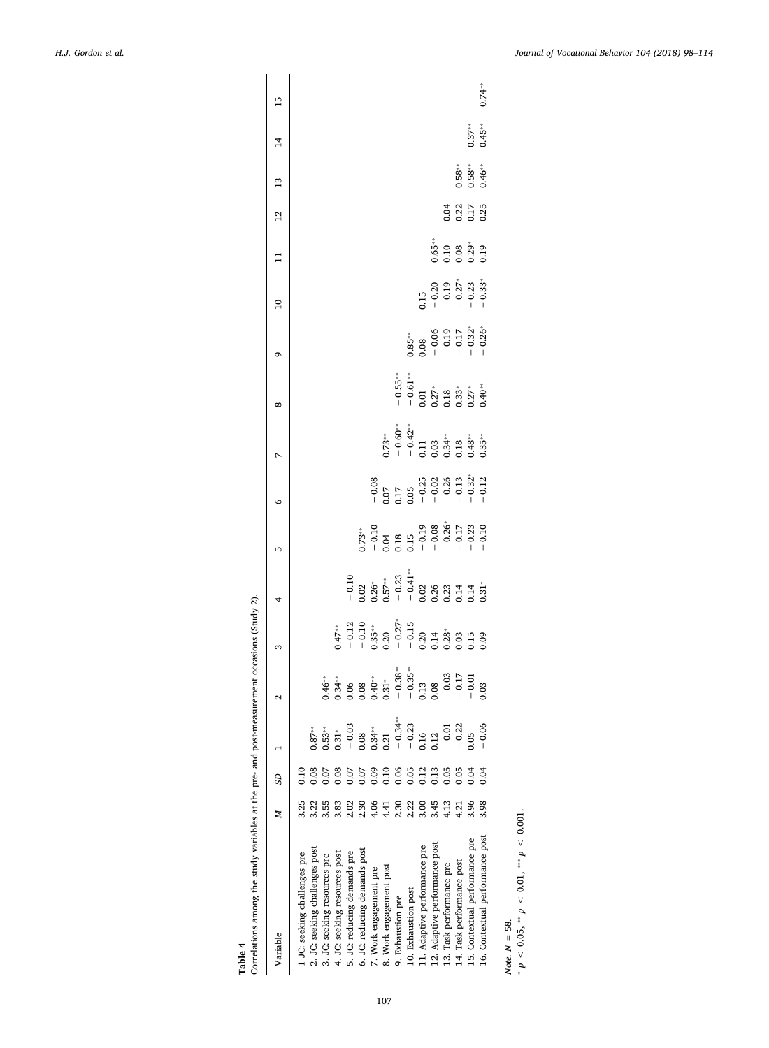<span id="page-10-0"></span>

| Correlations among the study variables at the pre- and post-measurement occasions (Study 2).<br>Table 4 |      |               |                                                      |                                                                                                                                                                                                                                                                                                                         |                                                                                                                                                                                                                                                                                |                                                                                                                                                                                                                                                                                                                                              |                                                                                                              |                                                                                                                                                        |                                                                                            |                                                                                                                |                                                              |                                                                |       |                                                |                            |                     |                 |
|---------------------------------------------------------------------------------------------------------|------|---------------|------------------------------------------------------|-------------------------------------------------------------------------------------------------------------------------------------------------------------------------------------------------------------------------------------------------------------------------------------------------------------------------|--------------------------------------------------------------------------------------------------------------------------------------------------------------------------------------------------------------------------------------------------------------------------------|----------------------------------------------------------------------------------------------------------------------------------------------------------------------------------------------------------------------------------------------------------------------------------------------------------------------------------------------|--------------------------------------------------------------------------------------------------------------|--------------------------------------------------------------------------------------------------------------------------------------------------------|--------------------------------------------------------------------------------------------|----------------------------------------------------------------------------------------------------------------|--------------------------------------------------------------|----------------------------------------------------------------|-------|------------------------------------------------|----------------------------|---------------------|-----------------|
| Variable                                                                                                | z    | SD            |                                                      | 2                                                                                                                                                                                                                                                                                                                       | 3                                                                                                                                                                                                                                                                              |                                                                                                                                                                                                                                                                                                                                              | 5                                                                                                            | م                                                                                                                                                      | N                                                                                          | $\infty$                                                                                                       | ٥                                                            | $\overline{10}$                                                | $\Xi$ | $\overline{12}$                                | $\frac{3}{2}$              | $\overline{1}$      | $\overline{15}$ |
| 1 JC: seeking challenges pre                                                                            | 3.25 | $\frac{0}{2}$ |                                                      |                                                                                                                                                                                                                                                                                                                         |                                                                                                                                                                                                                                                                                |                                                                                                                                                                                                                                                                                                                                              |                                                                                                              |                                                                                                                                                        |                                                                                            |                                                                                                                |                                                              |                                                                |       |                                                |                            |                     |                 |
| 2. JC: seeking challenges post                                                                          | 3.22 | 0.08          | $0.87***$                                            |                                                                                                                                                                                                                                                                                                                         |                                                                                                                                                                                                                                                                                |                                                                                                                                                                                                                                                                                                                                              |                                                                                                              |                                                                                                                                                        |                                                                                            |                                                                                                                |                                                              |                                                                |       |                                                |                            |                     |                 |
| 3. JC: seeking resources pre                                                                            | 3.55 | 0.07          | $0.53***$                                            |                                                                                                                                                                                                                                                                                                                         |                                                                                                                                                                                                                                                                                |                                                                                                                                                                                                                                                                                                                                              |                                                                                                              |                                                                                                                                                        |                                                                                            |                                                                                                                |                                                              |                                                                |       |                                                |                            |                     |                 |
| 4. JC: seeking resources post                                                                           | 3.83 | 0.08          | $0.31*$                                              |                                                                                                                                                                                                                                                                                                                         |                                                                                                                                                                                                                                                                                |                                                                                                                                                                                                                                                                                                                                              |                                                                                                              |                                                                                                                                                        |                                                                                            |                                                                                                                |                                                              |                                                                |       |                                                |                            |                     |                 |
| 5. JC: reducing demands pre                                                                             | 2.02 | 0.07          | $-0.03$                                              |                                                                                                                                                                                                                                                                                                                         |                                                                                                                                                                                                                                                                                |                                                                                                                                                                                                                                                                                                                                              |                                                                                                              |                                                                                                                                                        |                                                                                            |                                                                                                                |                                                              |                                                                |       |                                                |                            |                     |                 |
| 6. JC: reducing demands post                                                                            | 2.30 | 0.07          |                                                      |                                                                                                                                                                                                                                                                                                                         |                                                                                                                                                                                                                                                                                |                                                                                                                                                                                                                                                                                                                                              |                                                                                                              |                                                                                                                                                        |                                                                                            |                                                                                                                |                                                              |                                                                |       |                                                |                            |                     |                 |
| 7. Work engagement pre                                                                                  | 4.06 | 0.09          | $0.08$<br>$0.34**$<br>$0.21$                         |                                                                                                                                                                                                                                                                                                                         |                                                                                                                                                                                                                                                                                |                                                                                                                                                                                                                                                                                                                                              |                                                                                                              |                                                                                                                                                        |                                                                                            |                                                                                                                |                                                              |                                                                |       |                                                |                            |                     |                 |
| 8. Work engagement post                                                                                 | 4.41 | 0.10          |                                                      |                                                                                                                                                                                                                                                                                                                         |                                                                                                                                                                                                                                                                                |                                                                                                                                                                                                                                                                                                                                              |                                                                                                              |                                                                                                                                                        |                                                                                            |                                                                                                                |                                                              |                                                                |       |                                                |                            |                     |                 |
| 9. Exhaustion pre                                                                                       | 2.30 | 0.06          | $-0.34***$                                           |                                                                                                                                                                                                                                                                                                                         |                                                                                                                                                                                                                                                                                |                                                                                                                                                                                                                                                                                                                                              |                                                                                                              |                                                                                                                                                        |                                                                                            |                                                                                                                |                                                              |                                                                |       |                                                |                            |                     |                 |
| 10. Exhaustion post                                                                                     | 2.22 | 0.05          |                                                      |                                                                                                                                                                                                                                                                                                                         |                                                                                                                                                                                                                                                                                |                                                                                                                                                                                                                                                                                                                                              |                                                                                                              |                                                                                                                                                        |                                                                                            |                                                                                                                |                                                              |                                                                |       |                                                |                            |                     |                 |
| 11. Adaptive performance pre                                                                            | 3.00 | 0.12          | $\begin{array}{c} -0.23 \\ 0.16 \\ 0.12 \end{array}$ | $\begin{array}{cccc} * & * & * & * & * & * \\ * & * & * & * & * & * \\ 0.3 & 4 & * & * & * & * \\ 0.3 & 0.5 & 0.5 & 0.5 & 0.5 \\ 0.3 & 0.5 & 0.5 & 0.5 & 0.5 \\ 0.3 & 0.3 & 0.5 & 0.5 & 0.5 \\ 0.3 & 0.3 & 0.5 & 0.5 & 0.5 \\ 0.3 & 0.3 & 0.5 & 0.5 & 0.5 \\ 0.3 & 0.3 & 0.3 & 0.5 & 0.5 \\ 0.3 & 0.3 & 0.3 & 0.5 & 0.$ | $Q_7^*$<br>$Q_7^*$<br>$Q_8^*$<br>$Q_9^*$<br>$Q_9^*$<br>$Q_9^*$<br>$Q_9^*$<br>$Q_9^*$<br>$Q_9^*$<br>$Q_9^*$<br>$Q_9^*$<br>$Q_9^*$<br>$Q_9^*$<br>$Q_9^*$<br>$Q_9^*$<br>$Q_9^*$<br>$Q_9^*$<br>$Q_9^*$<br>$Q_9^*$<br>$Q_9^*$<br>$Q_9^*$<br>$Q_9^*$<br>$Q_9^*$<br>$Q_9^*$<br>$Q_9^$ | $\begin{array}{l} -0.10 \\ -0.2 \\ 0.02 \\ 0.5 \\ -0.02 \\ 0.5 \\ -0.02 \\ -0.02 \\ 0.03 \\ -0.02 \\ 0.03 \\ -0.03 \\ 0.03 \\ -0.03 \\ 0.03 \\ -0.03 \\ -0.03 \\ -0.03 \\ -0.03 \\ -0.03 \\ -0.03 \\ -0.03 \\ -0.03 \\ -0.03 \\ -0.03 \\ -0.03 \\ -0.03 \\ -0.03 \\ -0.03 \\ -0.03 \\ -0.03 \\ -0.03 \\ -0.03 \\ -0.03 \\ -0.03 \\ -0.03 \\$ | $0.73**$<br>$-0.10$<br>$-0.10$<br>$-0.18$<br>$-0.19$<br>$-0.08$<br>$-0.26*$<br>$-0.23$<br>$-0.23$<br>$-0.23$ | $\begin{array}{r} 0.08 \\ -0.07 \\ 0.07 \\ 0.017 \\ 0.05 \\ 0.028 \\ -0.028 \\ 0.028 \\ -0.033 \\ -0.012 \\ -0.012 \\ -0.012 \\ -0.012 \\ \end{array}$ | $3.73**$<br>$- 0.60**$<br>$- 0.42**$<br>$- 0.11$<br>$- 0.34**$<br>$- 0.34**$<br>$- 0.35**$ | $-0.55$<br>$-0.61$<br>$-0.01$<br>$-0.27$ , 8 $3, 2, 7, $<br>$-0.01$<br>$-0.37$ , $-0.01$<br>$-0.01$<br>$-0.01$ | $0.85$<br>$-0.06$<br>$-0.19$<br>$-1.7$<br>$-0.32$<br>$-0.26$ |                                                                |       |                                                |                            |                     |                 |
| 12. Adaptive performance post                                                                           | 3.45 | 2.13          |                                                      |                                                                                                                                                                                                                                                                                                                         |                                                                                                                                                                                                                                                                                |                                                                                                                                                                                                                                                                                                                                              |                                                                                                              |                                                                                                                                                        |                                                                                            |                                                                                                                |                                                              |                                                                |       |                                                |                            |                     |                 |
| 13. Task performance pre                                                                                | 4.13 | 0.05          |                                                      |                                                                                                                                                                                                                                                                                                                         |                                                                                                                                                                                                                                                                                |                                                                                                                                                                                                                                                                                                                                              |                                                                                                              |                                                                                                                                                        |                                                                                            |                                                                                                                |                                                              |                                                                |       |                                                |                            |                     |                 |
| 14. Task performance post                                                                               | 4.21 | 0.05          | $-0.01$<br>$-0.22$                                   |                                                                                                                                                                                                                                                                                                                         |                                                                                                                                                                                                                                                                                |                                                                                                                                                                                                                                                                                                                                              |                                                                                                              |                                                                                                                                                        |                                                                                            |                                                                                                                |                                                              | $-0.20$<br>$-0.29$<br>$-0.19$<br>$-0.27$<br>$-0.23$<br>$-0.33$ |       | 3<br>3<br>3<br>3<br>3<br>3<br>3<br>3<br>3<br>3 |                            |                     |                 |
| 15. Contextual performance pre                                                                          | 3.96 | 0.04          | 0.05                                                 |                                                                                                                                                                                                                                                                                                                         |                                                                                                                                                                                                                                                                                |                                                                                                                                                                                                                                                                                                                                              |                                                                                                              |                                                                                                                                                        |                                                                                            |                                                                                                                |                                                              |                                                                |       |                                                | $0.58$<br>$0.58$<br>$0.46$ |                     |                 |
| 16. Contextual performance post                                                                         | 3.98 | 0.04          | $-0.06$                                              |                                                                                                                                                                                                                                                                                                                         |                                                                                                                                                                                                                                                                                |                                                                                                                                                                                                                                                                                                                                              |                                                                                                              |                                                                                                                                                        |                                                                                            |                                                                                                                |                                                              |                                                                |       |                                                |                            | $0.37***$<br>0.45** | $0.74***$       |
| $p < 0.05$ , $p < 0.01$ , $p < 0.01$<br>Note. $N = 58$ .                                                |      |               |                                                      |                                                                                                                                                                                                                                                                                                                         |                                                                                                                                                                                                                                                                                |                                                                                                                                                                                                                                                                                                                                              |                                                                                                              |                                                                                                                                                        |                                                                                            |                                                                                                                |                                                              |                                                                |       |                                                |                            |                     |                 |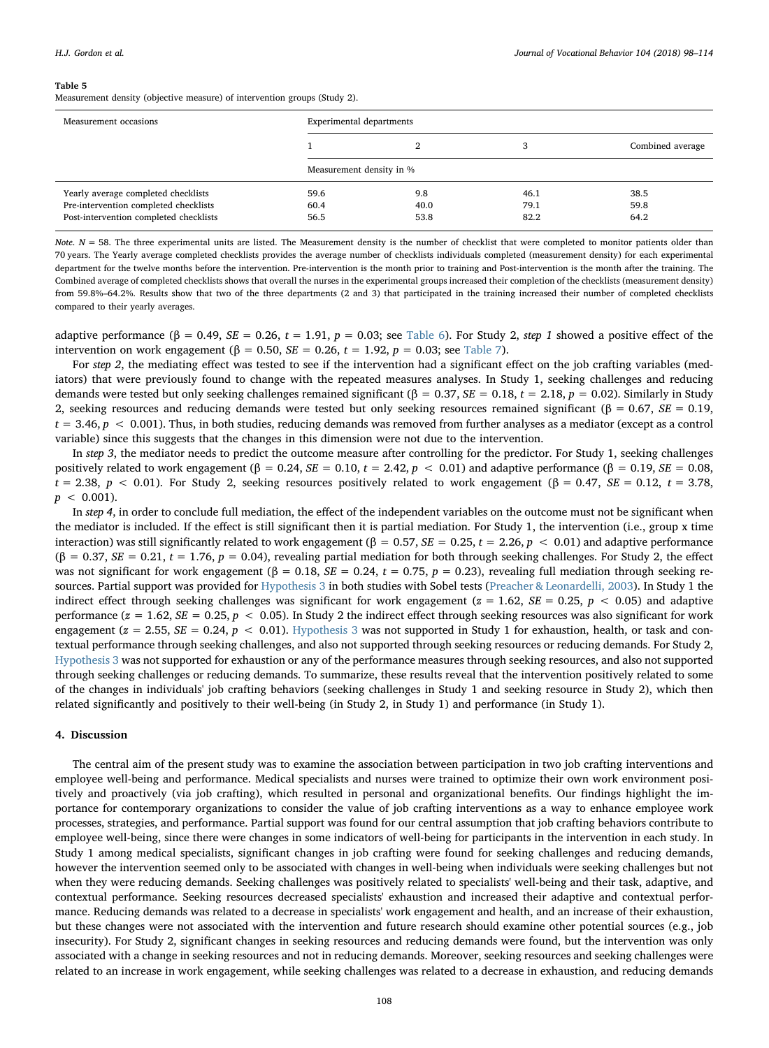<span id="page-11-0"></span>Measurement density (objective measure) of intervention groups (Study 2).

| Measurement occasions                  | Experimental departments |      |      |                  |
|----------------------------------------|--------------------------|------|------|------------------|
|                                        |                          |      |      | Combined average |
|                                        | Measurement density in % |      |      |                  |
| Yearly average completed checklists    | 59.6                     | 9.8  | 46.1 | 38.5             |
| Pre-intervention completed checklists  | 60.4                     | 40.0 | 79.1 | 59.8             |
| Post-intervention completed checklists | 56.5                     | 53.8 | 82.2 | 64.2             |

Note,  $N = 58$ . The three experimental units are listed. The Measurement density is the number of checklist that were completed to monitor patients older than 70 years. The Yearly average completed checklists provides the average number of checklists individuals completed (measurement density) for each experimental department for the twelve months before the intervention. Pre-intervention is the month prior to training and Post-intervention is the month after the training. The Combined average of completed checklists shows that overall the nurses in the experimental groups increased their completion of the checklists (measurement density) from 59.8%–64.2%. Results show that two of the three departments (2 and 3) that participated in the training increased their number of completed checklists compared to their yearly averages.

adaptive performance ( $\beta = 0.49$ ,  $SE = 0.26$ ,  $t = 1.91$ ,  $p = 0.03$ ; see [Table 6](#page-12-0)). For Study 2, step 1 showed a positive effect of the intervention on work engagement (β = 0.50, *SE* = 0.26, *t* = 1.92, *p* = 0.03; see [Table 7](#page-13-0)).

For step 2, the mediating effect was tested to see if the intervention had a significant effect on the job crafting variables (mediators) that were previously found to change with the repeated measures analyses. In Study 1, seeking challenges and reducing demands were tested but only seeking challenges remained significant (β = 0.37, SE = 0.18, t = 2.18, p = 0.02). Similarly in Study 2, seeking resources and reducing demands were tested but only seeking resources remained significant (β = 0.67,  $SE$  = 0.19,  $t = 3.46$ ,  $p < 0.001$ ). Thus, in both studies, reducing demands was removed from further analyses as a mediator (except as a control variable) since this suggests that the changes in this dimension were not due to the intervention.

In step 3, the mediator needs to predict the outcome measure after controlling for the predictor. For Study 1, seeking challenges positively related to work engagement  $(\beta = 0.24, SE = 0.10, t = 2.42, p < 0.01)$  and adaptive performance  $(\beta = 0.19, SE = 0.08,$  $t = 2.38$ ,  $p < 0.01$ ). For Study 2, seeking resources positively related to work engagement ( $\beta = 0.47$ ,  $SE = 0.12$ ,  $t = 3.78$ ,  $p < 0.001$ ).

In step 4, in order to conclude full mediation, the effect of the independent variables on the outcome must not be significant when the mediator is included. If the effect is still significant then it is partial mediation. For Study 1, the intervention (i.e., group x time interaction) was still significantly related to work engagement (β = 0.57, SE = 0.25, t = 2.26, p < 0.01) and adaptive performance  $(\beta = 0.37, SE = 0.21, t = 1.76, p = 0.04)$ , revealing partial mediation for both through seeking challenges. For Study 2, the effect was not significant for work engagement ( $\beta = 0.18$ ,  $SE = 0.24$ ,  $t = 0.75$ ,  $p = 0.23$ ), revealing full mediation through seeking resources. Partial support was provided for [Hypothesis 3](#page-4-2) in both studies with Sobel tests ([Preacher & Leonardelli, 2003](#page-16-30)). In Study 1 the indirect effect through seeking challenges was significant for work engagement ( $z = 1.62$ ,  $SE = 0.25$ ,  $p < 0.05$ ) and adaptive performance ( $z = 1.62$ ,  $SE = 0.25$ ,  $p < 0.05$ ). In Study 2 the indirect effect through seeking resources was also significant for work engagement ( $z = 2.55$ ,  $SE = 0.24$ ,  $p < 0.01$ ). [Hypothesis 3](#page-4-2) was not supported in Study 1 for exhaustion, health, or task and contextual performance through seeking challenges, and also not supported through seeking resources or reducing demands. For Study 2, [Hypothesis 3](#page-4-2) was not supported for exhaustion or any of the performance measures through seeking resources, and also not supported through seeking challenges or reducing demands. To summarize, these results reveal that the intervention positively related to some of the changes in individuals' job crafting behaviors (seeking challenges in Study 1 and seeking resource in Study 2), which then related significantly and positively to their well-being (in Study 2, in Study 1) and performance (in Study 1).

#### 4. Discussion

The central aim of the present study was to examine the association between participation in two job crafting interventions and employee well-being and performance. Medical specialists and nurses were trained to optimize their own work environment positively and proactively (via job crafting), which resulted in personal and organizational benefits. Our findings highlight the importance for contemporary organizations to consider the value of job crafting interventions as a way to enhance employee work processes, strategies, and performance. Partial support was found for our central assumption that job crafting behaviors contribute to employee well-being, since there were changes in some indicators of well-being for participants in the intervention in each study. In Study 1 among medical specialists, significant changes in job crafting were found for seeking challenges and reducing demands, however the intervention seemed only to be associated with changes in well-being when individuals were seeking challenges but not when they were reducing demands. Seeking challenges was positively related to specialists' well-being and their task, adaptive, and contextual performance. Seeking resources decreased specialists' exhaustion and increased their adaptive and contextual performance. Reducing demands was related to a decrease in specialists' work engagement and health, and an increase of their exhaustion, but these changes were not associated with the intervention and future research should examine other potential sources (e.g., job insecurity). For Study 2, significant changes in seeking resources and reducing demands were found, but the intervention was only associated with a change in seeking resources and not in reducing demands. Moreover, seeking resources and seeking challenges were related to an increase in work engagement, while seeking challenges was related to a decrease in exhaustion, and reducing demands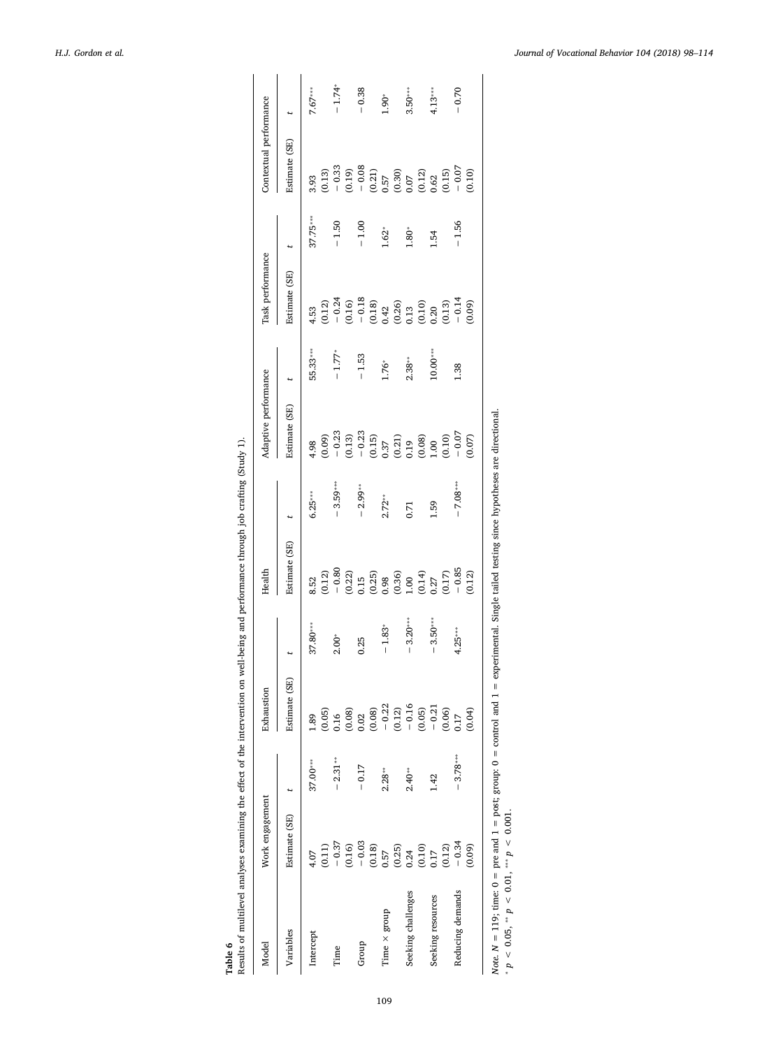<span id="page-12-0"></span>

| Model               | Work engagement                                                 |            | Exhaustion                                                                               |            | Health                                                                           |            | Adaptive performance      |                 | Task performance                                                                           |            | Contextual performance                                                                                         |            |
|---------------------|-----------------------------------------------------------------|------------|------------------------------------------------------------------------------------------|------------|----------------------------------------------------------------------------------|------------|---------------------------|-----------------|--------------------------------------------------------------------------------------------|------------|----------------------------------------------------------------------------------------------------------------|------------|
| Variables           | Estimate (SE)                                                   |            | (SE)<br>Estimate                                                                         |            | Estimate (SE)                                                                    |            | Estimate (SE)             |                 | Estimate (SE)                                                                              |            | Estimate (SE)                                                                                                  |            |
| Intercept           | 4.07                                                            | 37.00***   | 1.89                                                                                     | $37.80***$ | 8.52                                                                             | $6.25***$  | 4.98                      | 55.33***        | 4.53                                                                                       | $37.75***$ | 3.93                                                                                                           | $7.67***$  |
|                     | (0.11)                                                          |            |                                                                                          |            | (0.12)                                                                           |            | (0.09)                    |                 | (0.12)                                                                                     |            | (0.13)                                                                                                         |            |
| Time                | $-0.37$                                                         | $-2.31***$ | $(0.05)$<br>$0.16$<br>$(0.08)$<br>$0.02$<br>$(0.08)$<br>$(0.03)$<br>$(0.12)$<br>$(0.12)$ | $2.00*$    |                                                                                  | $-3.59***$ | $-0.23$                   | $-1.77^{\circ}$ | $-0.24$                                                                                    | $-1.50$    | $-0.33$<br>(0.19)                                                                                              | $-1.74*$   |
|                     | (0.16)                                                          |            |                                                                                          |            | $-0.80$<br>(0.22)                                                                |            | (0.13)                    |                 | (0.16)                                                                                     |            |                                                                                                                |            |
| Group               | $-0.03$                                                         | $-0.17$    |                                                                                          | 0.25       | 0.15                                                                             | $-2.99***$ |                           | $-1.53$         |                                                                                            | $-1.00$    |                                                                                                                | $-0.38$    |
|                     | (0.18)                                                          |            |                                                                                          |            |                                                                                  |            | $-0.23$<br>(0.15)<br>0.37 |                 |                                                                                            |            |                                                                                                                |            |
| Time $\times$ group | 0.57                                                            | $2.28**$   |                                                                                          | $-1.83$    |                                                                                  | $2.72***$  |                           | 1.76*           |                                                                                            | $1.62*$    |                                                                                                                | $0.90^{*}$ |
|                     |                                                                 |            |                                                                                          |            |                                                                                  |            | $(0.21)$<br>$0.19$        |                 |                                                                                            |            |                                                                                                                |            |
| Seeking challenges  |                                                                 | $2.40**$   |                                                                                          | $-3.20***$ |                                                                                  | 0.71       |                           | $2.38***$       |                                                                                            | $1.80*$    |                                                                                                                | $3.50***$  |
|                     | $\begin{array}{c} (0.25) \\ 0.24 \\ (0.10) \\ 0.17 \end{array}$ |            | (0.05)                                                                                   |            | $\begin{array}{c} (0.25) \\ 0.98 \\ (0.36) \\ 1.00 \\ 0.14) \\ 0.27 \end{array}$ |            | $(0.08)$<br>$1.00$        |                 | $\begin{array}{c} -0.18 \\ (0.18) \\ 0.42 \\ (0.26) \\ 0.13 \\ (0.10) \\ 0.01 \end{array}$ |            | $\begin{array}{c} -\ 0.08 \\ \ 0.21) \\ 0.57 \\ 0.30 \\ 0.07 \\ 0.012 \\ 0.62 \\ 0.62 \\ 0.15) \\ \end{array}$ |            |
| Seeking resources   |                                                                 | 1.42       | $-0.21$                                                                                  | $3.50***$  |                                                                                  | <b>PS</b>  |                           | $10.00***$      |                                                                                            | 1.54       |                                                                                                                | $4.13***$  |
|                     | (0.12)                                                          |            | (0.06)                                                                                   |            | (0.17)                                                                           |            | (0.10)                    |                 | (0.13)                                                                                     |            |                                                                                                                |            |
| Reducing demands    | $-0.34$                                                         | $-3.78***$ | 0.17                                                                                     | $4.25***$  | $-0.85$                                                                          | $-7.08***$ | $-0.07$                   | 1.38            | $-0.14$                                                                                    | $-1.56$    | $-0.07$                                                                                                        | $-0.70$    |
|                     | (0.09)                                                          |            | (0.04)                                                                                   |            | (0.12)                                                                           |            | (0.07)                    |                 | (60.0)                                                                                     |            | (0.10)                                                                                                         |            |

Note.  $N = 119$ ; time:  $0 =$  pre and  $1 =$  post; group:  $0 =$  control and  $1 =$  experimental. Single tailed testing since hypotheses are directional. Note  $N = 119$ ; time:  $0 =$  pre and  $1 =$  post; group:  $0 =$  control and  $1 =$  experimental. Single tailed testing since hypotheses are directional.<br>\*  $p < 0.05$ , \*\*  $p < 0.01$ , \*\*\*  $p < 0.001$ .

 ${}^*p < 0.05, {}^{**}p < 0.01, {}^{***}p < 0.001.$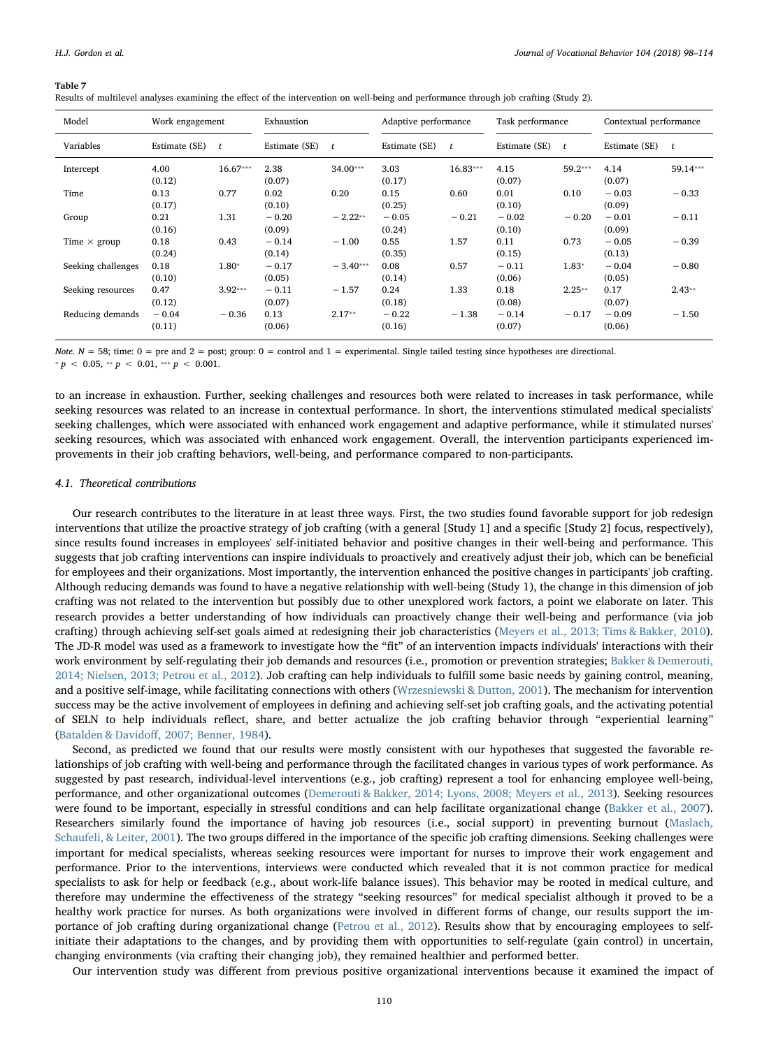<span id="page-13-0"></span>Results of multilevel analyses examining the effect of the intervention on well-being and performance through job crafting (Study 2).

| Model               | Work engagement   |              | Exhaustion        |              | Adaptive performance |              | Task performance  |              | Contextual performance |          |
|---------------------|-------------------|--------------|-------------------|--------------|----------------------|--------------|-------------------|--------------|------------------------|----------|
| Variables           | Estimate (SE)     | $\mathbf{t}$ | Estimate (SE)     | $\mathbf{r}$ | Estimate (SE)        | $\mathbf{r}$ | Estimate (SE)     | $\mathbf{r}$ | Estimate (SE)          | t        |
| Intercept           | 4.00<br>(0.12)    | $16.67***$   | 2.38<br>(0.07)    | $34.00***$   | 3.03<br>(0.17)       | $16.83***$   | 4.15<br>(0.07)    | 59.2***      | 4.14<br>(0.07)         | 59.14*** |
| Time                | 0.13<br>(0.17)    | 0.77         | 0.02<br>(0.10)    | 0.20         | 0.15<br>(0.25)       | 0.60         | 0.01<br>(0.10)    | 0.10         | $-0.03$<br>(0.09)      | $-0.33$  |
| Group               | 0.21<br>(0.16)    | 1.31         | $-0.20$<br>(0.09) | $-2.22**$    | $-0.05$<br>(0.24)    | $-0.21$      | $-0.02$<br>(0.10) | $-0.20$      | $-0.01$<br>(0.09)      | $-0.11$  |
| Time $\times$ group | 0.18<br>(0.24)    | 0.43         | $-0.14$<br>(0.14) | $-1.00$      | 0.55<br>(0.35)       | 1.57         | 0.11<br>(0.15)    | 0.73         | $-0.05$<br>(0.13)      | $-0.39$  |
| Seeking challenges  | 0.18<br>(0.10)    | $1.80*$      | $-0.17$<br>(0.05) | $-3.40***$   | 0.08<br>(0.14)       | 0.57         | $-0.11$<br>(0.06) | $1.83*$      | $-0.04$<br>(0.05)      | $-0.80$  |
| Seeking resources   | 0.47<br>(0.12)    | $3.92***$    | $-0.11$<br>(0.07) | $-1.57$      | 0.24<br>(0.18)       | 1.33         | 0.18<br>(0.08)    | $2.25**$     | 0.17<br>(0.07)         | $2.43**$ |
| Reducing demands    | $-0.04$<br>(0.11) | $-0.36$      | 0.13<br>(0.06)    | $2.17**$     | $-0.22$<br>(0.16)    | $-1.38$      | $-0.14$<br>(0.07) | $-0.17$      | $-0.09$<br>(0.06)      | $-1.50$  |

Note.  $N = 58$ ; time:  $0 =$  pre and  $2 =$  post; group:  $0 =$  control and  $1 =$  experimental. Single tailed testing since hypotheses are directional.  $p > 0.05$ , \*\*  $p > 0.01$ , \*\*\*  $p > 0.001$ .

to an increase in exhaustion. Further, seeking challenges and resources both were related to increases in task performance, while seeking resources was related to an increase in contextual performance. In short, the interventions stimulated medical specialists' seeking challenges, which were associated with enhanced work engagement and adaptive performance, while it stimulated nurses' seeking resources, which was associated with enhanced work engagement. Overall, the intervention participants experienced improvements in their job crafting behaviors, well-being, and performance compared to non-participants.

#### 4.1. Theoretical contributions

Our research contributes to the literature in at least three ways. First, the two studies found favorable support for job redesign interventions that utilize the proactive strategy of job crafting (with a general [Study 1] and a specific [Study 2] focus, respectively), since results found increases in employees' self-initiated behavior and positive changes in their well-being and performance. This suggests that job crafting interventions can inspire individuals to proactively and creatively adjust their job, which can be beneficial for employees and their organizations. Most importantly, the intervention enhanced the positive changes in participants' job crafting. Although reducing demands was found to have a negative relationship with well-being (Study 1), the change in this dimension of job crafting was not related to the intervention but possibly due to other unexplored work factors, a point we elaborate on later. This research provides a better understanding of how individuals can proactively change their well-being and performance (via job crafting) through achieving self-set goals aimed at redesigning their job characteristics [\(Meyers et al., 2013; Tims & Bakker, 2010\)](#page-16-8). The JD-R model was used as a framework to investigate how the "fit" of an intervention impacts individuals' interactions with their work environment by self-regulating their job demands and resources (i.e., promotion or prevention strategies; [Bakker & Demerouti,](#page-15-2) [2014; Nielsen, 2013; Petrou et al., 2012](#page-15-2)). Job crafting can help individuals to fulfill some basic needs by gaining control, meaning, and a positive self-image, while facilitating connections with others [\(Wrzesniewski & Dutton, 2001\)](#page-17-1). The mechanism for intervention success may be the active involvement of employees in defining and achieving self-set job crafting goals, and the activating potential of SELN to help individuals reflect, share, and better actualize the job crafting behavior through "experiential learning" (Batalden & Davidoff[, 2007; Benner, 1984](#page-15-21)).

Second, as predicted we found that our results were mostly consistent with our hypotheses that suggested the favorable relationships of job crafting with well-being and performance through the facilitated changes in various types of work performance. As suggested by past research, individual-level interventions (e.g., job crafting) represent a tool for enhancing employee well-being, performance, and other organizational outcomes [\(Demerouti & Bakker, 2014; Lyons, 2008; Meyers et al., 2013](#page-15-3)). Seeking resources were found to be important, especially in stressful conditions and can help facilitate organizational change [\(Bakker et al., 2007\)](#page-15-10). Researchers similarly found the importance of having job resources (i.e., social support) in preventing burnout [\(Maslach,](#page-16-34) [Schaufeli, & Leiter, 2001\)](#page-16-34). The two groups differed in the importance of the specific job crafting dimensions. Seeking challenges were important for medical specialists, whereas seeking resources were important for nurses to improve their work engagement and performance. Prior to the interventions, interviews were conducted which revealed that it is not common practice for medical specialists to ask for help or feedback (e.g., about work-life balance issues). This behavior may be rooted in medical culture, and therefore may undermine the effectiveness of the strategy "seeking resources" for medical specialist although it proved to be a healthy work practice for nurses. As both organizations were involved in different forms of change, our results support the importance of job crafting during organizational change ([Petrou et al., 2012\)](#page-16-6). Results show that by encouraging employees to selfinitiate their adaptations to the changes, and by providing them with opportunities to self-regulate (gain control) in uncertain, changing environments (via crafting their changing job), they remained healthier and performed better.

Our intervention study was different from previous positive organizational interventions because it examined the impact of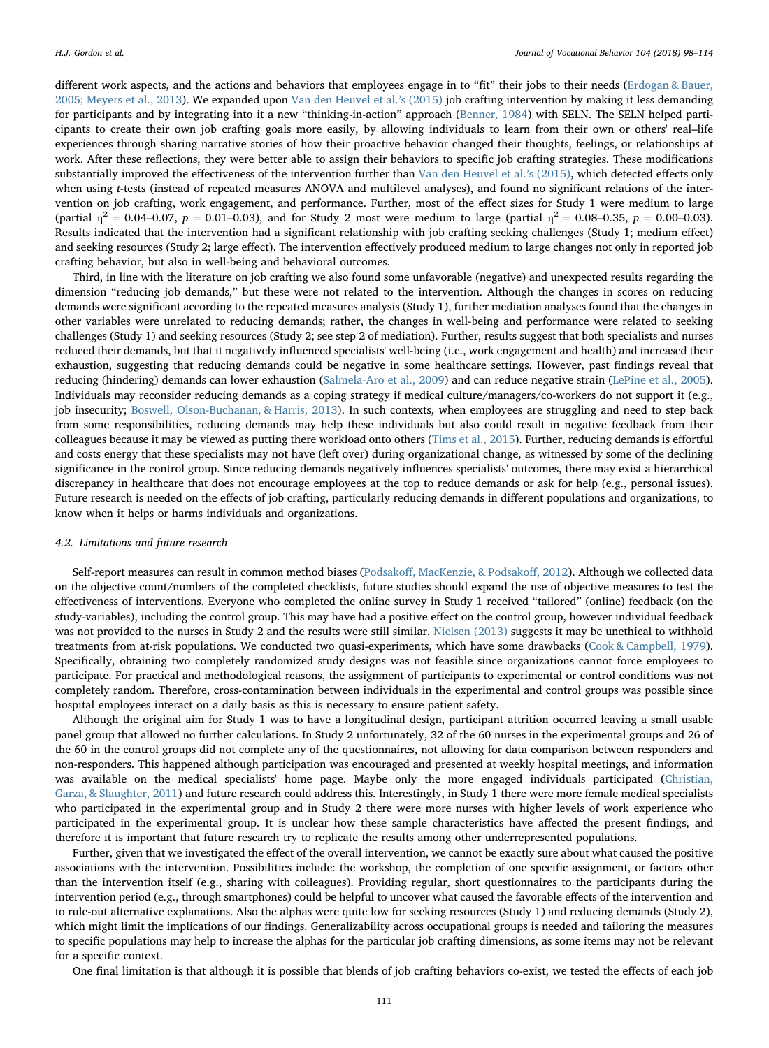different work aspects, and the actions and behaviors that employees engage in to "fit" their jobs to their needs [\(Erdogan & Bauer,](#page-15-22) [2005; Meyers et al., 2013\)](#page-15-22). We expanded upon [Van den Heuvel et al.](#page-17-2)'s (2015) job crafting intervention by making it less demanding for participants and by integrating into it a new "thinking-in-action" approach ([Benner, 1984\)](#page-15-16) with SELN. The SELN helped participants to create their own job crafting goals more easily, by allowing individuals to learn from their own or others' real–life experiences through sharing narrative stories of how their proactive behavior changed their thoughts, feelings, or relationships at work. After these reflections, they were better able to assign their behaviors to specific job crafting strategies. These modifications substantially improved the effectiveness of the intervention further than [Van den Heuvel et al.](#page-17-2)'s (2015), which detected effects only when using *t*-tests (instead of repeated measures ANOVA and multilevel analyses), and found no significant relations of the intervention on job crafting, work engagement, and performance. Further, most of the effect sizes for Study 1 were medium to large (partial  $\eta^2 = 0.04 - 0.07$ ,  $p = 0.01 - 0.03$ ), and for Study 2 most were medium to large (partial  $\eta^2 = 0.08 - 0.35$ ,  $p = 0.00 - 0.03$ ). Results indicated that the intervention had a significant relationship with job crafting seeking challenges (Study 1; medium effect) and seeking resources (Study 2; large effect). The intervention effectively produced medium to large changes not only in reported job crafting behavior, but also in well-being and behavioral outcomes.

Third, in line with the literature on job crafting we also found some unfavorable (negative) and unexpected results regarding the dimension "reducing job demands," but these were not related to the intervention. Although the changes in scores on reducing demands were significant according to the repeated measures analysis (Study 1), further mediation analyses found that the changes in other variables were unrelated to reducing demands; rather, the changes in well-being and performance were related to seeking challenges (Study 1) and seeking resources (Study 2; see step 2 of mediation). Further, results suggest that both specialists and nurses reduced their demands, but that it negatively influenced specialists' well-being (i.e., work engagement and health) and increased their exhaustion, suggesting that reducing demands could be negative in some healthcare settings. However, past findings reveal that reducing (hindering) demands can lower exhaustion [\(Salmela-Aro et al., 2009\)](#page-16-20) and can reduce negative strain ([LePine et al., 2005](#page-16-16)). Individuals may reconsider reducing demands as a coping strategy if medical culture/managers/co-workers do not support it (e.g., job insecurity; [Boswell, Olson-Buchanan, & Harris, 2013](#page-15-23)). In such contexts, when employees are struggling and need to step back from some responsibilities, reducing demands may help these individuals but also could result in negative feedback from their colleagues because it may be viewed as putting there workload onto others [\(Tims et al., 2015\)](#page-17-0). Further, reducing demands is effortful and costs energy that these specialists may not have (left over) during organizational change, as witnessed by some of the declining significance in the control group. Since reducing demands negatively influences specialists' outcomes, there may exist a hierarchical discrepancy in healthcare that does not encourage employees at the top to reduce demands or ask for help (e.g., personal issues). Future research is needed on the effects of job crafting, particularly reducing demands in different populations and organizations, to know when it helps or harms individuals and organizations.

#### 4.2. Limitations and future research

Self-report measures can result in common method biases (Podsakoff[, MacKenzie, & Podsako](#page-16-35)ff, 2012). Although we collected data on the objective count/numbers of the completed checklists, future studies should expand the use of objective measures to test the effectiveness of interventions. Everyone who completed the online survey in Study 1 received "tailored" (online) feedback (on the study-variables), including the control group. This may have had a positive effect on the control group, however individual feedback was not provided to the nurses in Study 2 and the results were still similar. [Nielsen \(2013\)](#page-16-1) suggests it may be unethical to withhold treatments from at-risk populations. We conducted two quasi-experiments, which have some drawbacks ([Cook & Campbell, 1979\)](#page-15-24). Specifically, obtaining two completely randomized study designs was not feasible since organizations cannot force employees to participate. For practical and methodological reasons, the assignment of participants to experimental or control conditions was not completely random. Therefore, cross-contamination between individuals in the experimental and control groups was possible since hospital employees interact on a daily basis as this is necessary to ensure patient safety.

Although the original aim for Study 1 was to have a longitudinal design, participant attrition occurred leaving a small usable panel group that allowed no further calculations. In Study 2 unfortunately, 32 of the 60 nurses in the experimental groups and 26 of the 60 in the control groups did not complete any of the questionnaires, not allowing for data comparison between responders and non-responders. This happened although participation was encouraged and presented at weekly hospital meetings, and information was available on the medical specialists' home page. Maybe only the more engaged individuals participated ([Christian,](#page-15-25) [Garza, & Slaughter, 2011](#page-15-25)) and future research could address this. Interestingly, in Study 1 there were more female medical specialists who participated in the experimental group and in Study 2 there were more nurses with higher levels of work experience who participated in the experimental group. It is unclear how these sample characteristics have affected the present findings, and therefore it is important that future research try to replicate the results among other underrepresented populations.

Further, given that we investigated the effect of the overall intervention, we cannot be exactly sure about what caused the positive associations with the intervention. Possibilities include: the workshop, the completion of one specific assignment, or factors other than the intervention itself (e.g., sharing with colleagues). Providing regular, short questionnaires to the participants during the intervention period (e.g., through smartphones) could be helpful to uncover what caused the favorable effects of the intervention and to rule-out alternative explanations. Also the alphas were quite low for seeking resources (Study 1) and reducing demands (Study 2), which might limit the implications of our findings. Generalizability across occupational groups is needed and tailoring the measures to specific populations may help to increase the alphas for the particular job crafting dimensions, as some items may not be relevant for a specific context.

One final limitation is that although it is possible that blends of job crafting behaviors co-exist, we tested the effects of each job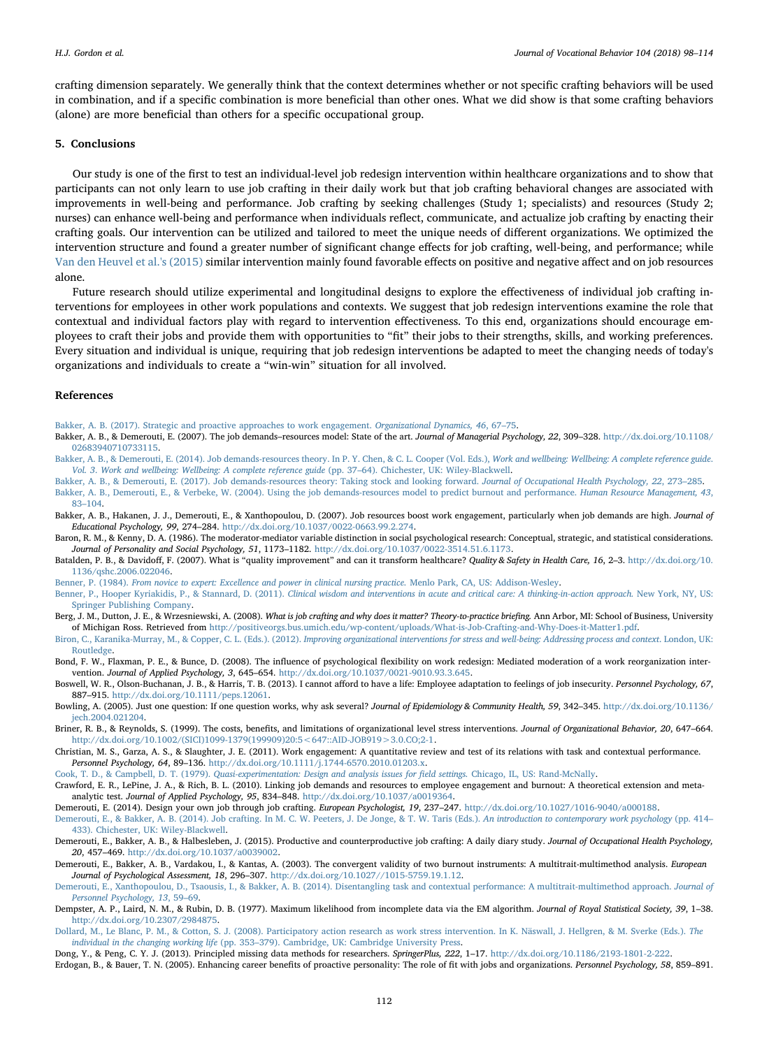crafting dimension separately. We generally think that the context determines whether or not specific crafting behaviors will be used in combination, and if a specific combination is more beneficial than other ones. What we did show is that some crafting behaviors (alone) are more beneficial than others for a specific occupational group.

#### 5. Conclusions

Our study is one of the first to test an individual-level job redesign intervention within healthcare organizations and to show that participants can not only learn to use job crafting in their daily work but that job crafting behavioral changes are associated with improvements in well-being and performance. Job crafting by seeking challenges (Study 1; specialists) and resources (Study 2; nurses) can enhance well-being and performance when individuals reflect, communicate, and actualize job crafting by enacting their crafting goals. Our intervention can be utilized and tailored to meet the unique needs of different organizations. We optimized the intervention structure and found a greater number of significant change effects for job crafting, well-being, and performance; while [Van den Heuvel et al.'s \(2015\)](#page-17-2) similar intervention mainly found favorable effects on positive and negative affect and on job resources alone.

Future research should utilize experimental and longitudinal designs to explore the effectiveness of individual job crafting interventions for employees in other work populations and contexts. We suggest that job redesign interventions examine the role that contextual and individual factors play with regard to intervention effectiveness. To this end, organizations should encourage employees to craft their jobs and provide them with opportunities to "fit" their jobs to their strengths, skills, and working preferences. Every situation and individual is unique, requiring that job redesign interventions be adapted to meet the changing needs of today's organizations and individuals to create a "win-win" situation for all involved.

#### References

<span id="page-15-8"></span>[Bakker, A. B. \(2017\). Strategic and proactive approaches to work engagement.](http://refhub.elsevier.com/S0001-8791(17)30060-X/rf0005) Organizational Dynamics, 46, 67–75.

- <span id="page-15-11"></span>Bakker, A. B., & Demerouti, E. (2007). The job demands-resources model: State of the art. Journal of Managerial Psychology, 22, 309-328. [http://dx.doi.org/10.1108/](http://dx.doi.org/10.1108/02683940710733115) [02683940710733115.](http://dx.doi.org/10.1108/02683940710733115)
- <span id="page-15-2"></span>[Bakker, A. B., & Demerouti, E. \(2014\). Job demands-resources theory. In P. Y. Chen, & C. L. Cooper \(Vol. Eds.\),](http://refhub.elsevier.com/S0001-8791(17)30060-X/rf0015) Work and wellbeing: Wellbeing: A complete reference guide. Vol. 3. [Work and wellbeing: Wellbeing: A complete reference guide](http://refhub.elsevier.com/S0001-8791(17)30060-X/rf0015) (pp. 37–64). Chichester, UK: Wiley-Blackwell.
- <span id="page-15-15"></span>[Bakker, A. B., & Demerouti, E. \(2017\). Job demands-resources theory: Taking stock and looking forward.](http://refhub.elsevier.com/S0001-8791(17)30060-X/rf0020) Journal of Occupational Health Psychology, 22, 273–285.
- <span id="page-15-18"></span>[Bakker, A. B., Demerouti, E., & Verbeke, W. \(2004\). Using the job demands-resources model to predict burnout and performance.](http://refhub.elsevier.com/S0001-8791(17)30060-X/rf0025) Human Resource Management, 43, 83–[104](http://refhub.elsevier.com/S0001-8791(17)30060-X/rf0025).
- <span id="page-15-10"></span>Bakker, A. B., Hakanen, J. J., Demerouti, E., & Xanthopoulou, D. (2007). Job resources boost work engagement, particularly when job demands are high. Journal of Educational Psychology, 99, 274–284. <http://dx.doi.org/10.1037/0022-0663.99.2.274>.
- <span id="page-15-19"></span>Baron, R. M., & Kenny, D. A. (1986). The moderator-mediator variable distinction in social psychological research: Conceptual, strategic, and statistical considerations. Journal of Personality and Social Psychology, 51, 1173–1182. [http://dx.doi.org/10.1037/0022-3514.51.6.1173.](http://dx.doi.org/10.1037/0022-3514.51.6.1173)
- <span id="page-15-21"></span>Batalden, P. B., & Davidoff, F. (2007). What is "quality improvement" and can it transform healthcare? Quality & Safety in Health Care, 16, 2-3. [http://dx.doi.org/10.](http://dx.doi.org/10.1136/qshc.2006.022046) [1136/qshc.2006.022046.](http://dx.doi.org/10.1136/qshc.2006.022046)
- <span id="page-15-16"></span>Benner, P. (1984). [From novice to expert: Excellence and power in clinical nursing practice.](http://refhub.elsevier.com/S0001-8791(17)30060-X/rf0040) Menlo Park, CA, US: Addison-Wesley.
- <span id="page-15-6"></span>Benner, P., Hooper Kyriakidis, P., & Stannard, D. (2011). [Clinical wisdom and interventions in acute and critical care: A thinking-in-action approach.](http://refhub.elsevier.com/S0001-8791(17)30060-X/rf0045) New York, NY, US: [Springer Publishing Company.](http://refhub.elsevier.com/S0001-8791(17)30060-X/rf0045)
- <span id="page-15-5"></span>Berg, J. M., Dutton, J. E., & Wrzesniewski, A. (2008). What is job crafting and why does it matter? Theory-to-practice briefing. Ann Arbor, MI: School of Business, University of Michigan Ross. Retrieved from <http://positiveorgs.bus.umich.edu/wp-content/uploads/What-is-Job-Crafting-and-Why-Does-it-Matter1.pdf>.
- <span id="page-15-7"></span>Biron, C., Karanika-Murray, M., & Copper, C. L. (Eds.). (2012). [Improving organizational interventions for stress and well-being: Addressing process and context](http://refhub.elsevier.com/S0001-8791(17)30060-X/rf0055). London, UK: [Routledge](http://refhub.elsevier.com/S0001-8791(17)30060-X/rf0055).
- <span id="page-15-9"></span>Bond, F. W., Flaxman, P. E., & Bunce, D. (2008). The influence of psychological flexibility on work redesign: Mediated moderation of a work reorganization intervention. Journal of Applied Psychology, 3, 645-654. <http://dx.doi.org/10.1037/0021-9010.93.3.645>.
- <span id="page-15-23"></span>Boswell, W. R., Olson-Buchanan, J. B., & Harris, T. B. (2013). I cannot afford to have a life: Employee adaptation to feelings of job insecurity. Personnel Psychology, 67, 887–915. [http://dx.doi.org/10.1111/peps.12061.](http://dx.doi.org/10.1111/peps.12061)
- <span id="page-15-17"></span>Bowling, A. (2005). Just one question: If one question works, why ask several? Journal of Epidemiology & Community Health, 59, 342-345. [http://dx.doi.org/10.1136/](http://dx.doi.org/10.1136/jech.2004.021204) [jech.2004.021204.](http://dx.doi.org/10.1136/jech.2004.021204)
- <span id="page-15-0"></span>Briner, R. B., & Reynolds, S. (1999). The costs, benefits, and limitations of organizational level stress interventions. Journal of Organizational Behavior, 20, 647-664. [http://dx.doi.org/10.1002/\(SICI\)1099-1379\(199909\)20:5<647::AID-JOB919>3.0.CO;2-1.](http://dx.doi.org/10.1002/(SICI)1099-1379(199909)20:5<647::AID-JOB919>3.0.CO;2-1)
- <span id="page-15-25"></span>Christian, M. S., Garza, A. S., & Slaughter, J. E. (2011). Work engagement: A quantitative review and test of its relations with task and contextual performance. Personnel Psychology, 64, 89–136. <http://dx.doi.org/10.1111/j.1744-6570.2010.01203.x>.
- <span id="page-15-24"></span><span id="page-15-14"></span>Cook, T. D., & Campbell, D. T. (1979). [Quasi-experimentation: Design and analysis issues for](http://refhub.elsevier.com/S0001-8791(17)30060-X/rf0085) field settings. Chicago, IL, US: Rand-McNally.
- Crawford, E. R., LePine, J. A., & Rich, B. L. (2010). Linking job demands and resources to employee engagement and burnout: A theoretical extension and metaanalytic test. Journal of Applied Psychology, 95, 834-848. http://dx.doi.org/10.1037/a0019364

<span id="page-15-4"></span>Demerouti, E. (2014). Design your own job through job crafting. European Psychologist, 19, 237–247. [http://dx.doi.org/10.1027/1016-9040/a000188.](http://dx.doi.org/10.1027/1016-9040/a000188)

- <span id="page-15-3"></span>[Demerouti, E., & Bakker, A. B. \(2014\). Job crafting. In M. C. W. Peeters, J. De Jonge, & T. W. Taris \(Eds.\).](http://refhub.elsevier.com/S0001-8791(17)30060-X/rf0100) An introduction to contemporary work psychology (pp. 414– [433\). Chichester, UK: Wiley-Blackwell.](http://refhub.elsevier.com/S0001-8791(17)30060-X/rf0100)
- <span id="page-15-13"></span>Demerouti, E., Bakker, A. B., & Halbesleben, J. (2015). Productive and counterproductive job crafting: A daily diary study. Journal of Occupational Health Psychology, 20, 457–469. [http://dx.doi.org/10.1037/a0039002.](http://dx.doi.org/10.1037/a0039002)
- <span id="page-15-12"></span>Demerouti, E., Bakker, A. B., Vardakou, I., & Kantas, A. (2003). The convergent validity of two burnout instruments: A multitrait-multimethod analysis. European Journal of Psychological Assessment, 18, 296–307. [http://dx.doi.org/10.1027//1015-5759.19.1.12.](http://dx.doi.org/10.1027//1015-5759.19.1.12)
- [Demerouti, E., Xanthopoulou, D., Tsaousis, I., & Bakker, A. B. \(2014\). Disentangling task and contextual performance: A multitrait-multimethod approach.](http://refhub.elsevier.com/S0001-8791(17)30060-X/rf0115) Journal of [Personnel Psychology, 13](http://refhub.elsevier.com/S0001-8791(17)30060-X/rf0115), 59–69.
- <span id="page-15-20"></span>Dempster, A. P., Laird, N. M., & Rubin, D. B. (1977). Maximum likelihood from incomplete data via the EM algorithm. Journal of Royal Statistical Society, 39, 1–38. [http://dx.doi.org/10.2307/2984875.](http://dx.doi.org/10.2307/2984875)
- <span id="page-15-1"></span>[Dollard, M., Le Blanc, P. M., & Cotton, S. J. \(2008\). Participatory action research as work stress intervention. In K. Näswall, J. Hellgren, & M. Sverke \(Eds.\).](http://refhub.elsevier.com/S0001-8791(17)30060-X/rf0125) The individual in the changing working life (pp. 353–379). [Cambridge, UK: Cambridge University Press](http://refhub.elsevier.com/S0001-8791(17)30060-X/rf0125).

Dong, Y., & Peng, C. Y. J. (2013). Principled missing data methods for researchers. SpringerPlus, 222, 1–17. [http://dx.doi.org/10.1186/2193-1801-2-222.](http://dx.doi.org/10.1186/2193-1801-2-222)

<span id="page-15-22"></span>Erdogan, B., & Bauer, T. N. (2005). Enhancing career benefits of proactive personality: The role of fit with jobs and organizations. Personnel Psychology, 58, 859–891.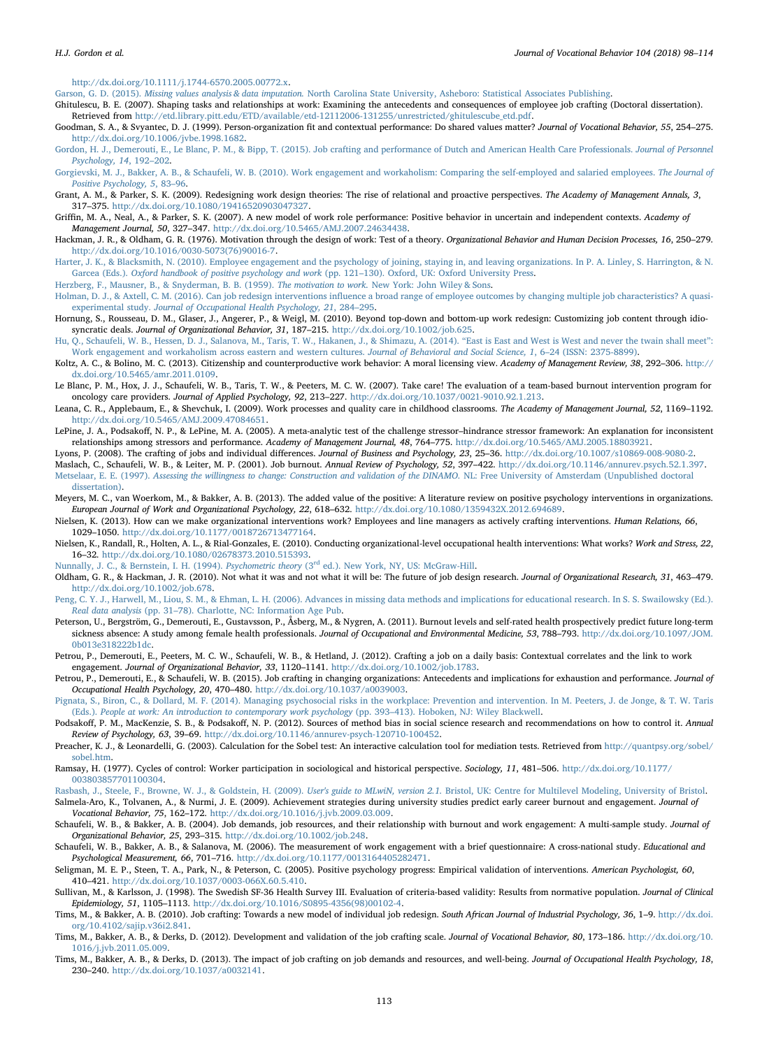<http://dx.doi.org/10.1111/j.1744-6570.2005.00772.x>.

<span id="page-16-31"></span>Garson, G. D. (2015). Missing values analysis & data imputation. [North Carolina State University, Asheboro: Statistical Associates Publishing](http://refhub.elsevier.com/S0001-8791(17)30060-X/rf0140).

<span id="page-16-19"></span>Ghitulescu, B. E. (2007). Shaping tasks and relationships at work: Examining the antecedents and consequences of employee job crafting (Doctoral dissertation). Retrieved from [http://etd.library.pitt.edu/ETD/available/etd-12112006-131255/unrestricted/ghitulescube\\_etd.pdf](http://etd.library.pitt.edu/ETD/available/etd-12112006-131255/unrestricted/ghitulescube_etd.pdf).

- <span id="page-16-27"></span>Goodman, S. A., & Svyantec, D. J. (1999). Person-organization fit and contextual performance: Do shared values matter? Journal of Vocational Behavior, 55, 254–275. <http://dx.doi.org/10.1006/jvbe.1998.1682>.
- <span id="page-16-7"></span>[Gordon, H. J., Demerouti, E., Le Blanc, P. M., & Bipp, T. \(2015\). Job crafting and performance of Dutch and American Health Care Professionals.](http://refhub.elsevier.com/S0001-8791(17)30060-X/rf0155) Journal of Personnel [Psychology, 14](http://refhub.elsevier.com/S0001-8791(17)30060-X/rf0155), 192–202.
- <span id="page-16-28"></span>[Gorgievski, M. J., Bakker, A. B., & Schaufeli, W. B. \(2010\). Work engagement and workaholism: Comparing the self-employed and salaried employees.](http://refhub.elsevier.com/S0001-8791(17)30060-X/rf0160) The Journal of [Positive Psychology, 5](http://refhub.elsevier.com/S0001-8791(17)30060-X/rf0160), 83–96.
- <span id="page-16-0"></span>Grant, A. M., & Parker, S. K. (2009). Redesigning work design theories: The rise of relational and proactive perspectives. The Academy of Management Annals, 3, 317–375. <http://dx.doi.org/10.1080/19416520903047327>.
- <span id="page-16-26"></span>Griffin, M. A., Neal, A., & Parker, S. K. (2007). A new model of work role performance: Positive behavior in uncertain and independent contexts. Academy of Management Journal, 50, 327–347. [http://dx.doi.org/10.5465/AMJ.2007.24634438.](http://dx.doi.org/10.5465/AMJ.2007.24634438)
- <span id="page-16-11"></span>Hackman, J. R., & Oldham, G. R. (1976). Motivation through the design of work: Test of a theory. Organizational Behavior and Human Decision Processes, 16, 250–279. [http://dx.doi.org/10.1016/0030-5073\(76\)90016-7](http://dx.doi.org/10.1016/0030-5073(76)90016-7).
- <span id="page-16-14"></span>[Harter, J. K., & Blacksmith, N. \(2010\). Employee engagement and the psychology of joining, staying in, and leaving organizations. In P. A. Linley, S. Harrington, & N.](http://refhub.elsevier.com/S0001-8791(17)30060-X/rf0180) Garcea (Eds.). [Oxford handbook of positive psychology and work](http://refhub.elsevier.com/S0001-8791(17)30060-X/rf0180) (pp. 121–130). Oxford, UK: Oxford University Press.
- <span id="page-16-10"></span>[Herzberg, F., Mausner, B., & Snyderman, B. B. \(1959\).](http://refhub.elsevier.com/S0001-8791(17)30060-X/rf0185) The motivation to work. New York: John Wiley & Sons.
- Holman, D. J., & Axtell, C. M. (2016). Can job redesign interventions infl[uence a broad range of employee outcomes by changing multiple job characteristics? A quasi](http://refhub.elsevier.com/S0001-8791(17)30060-X/rf0190)experimental study. [Journal of Occupational Health Psychology, 21](http://refhub.elsevier.com/S0001-8791(17)30060-X/rf0190), 284–295.
- <span id="page-16-4"></span>Hornung, S., Rousseau, D. M., Glaser, J., Angerer, P., & Weigl, M. (2010). Beyond top-down and bottom-up work redesign: Customizing job content through idiosyncratic deals. Journal of Organizational Behavior, 31, 187–215. [http://dx.doi.org/10.1002/job.625.](http://dx.doi.org/10.1002/job.625)
- <span id="page-16-23"></span>[Hu, Q., Schaufeli, W. B., Hessen, D. J., Salanova, M., Taris, T. W., Hakanen, J., & Shimazu, A. \(2014\).](http://refhub.elsevier.com/S0001-8791(17)30060-X/rf0200) "East is East and West is West and never the twain shall meet": [Work engagement and workaholism across eastern and western cultures.](http://refhub.elsevier.com/S0001-8791(17)30060-X/rf0200) Journal of Behavioral and Social Science, 1, 6–24 (ISSN: 2375-8899).
- Koltz, A. C., & Bolino, M. C. (2013). Citizenship and counterproductive work behavior: A moral licensing view. Academy of Management Review, 38, 292–306. [http://](http://dx.doi.org/10.5465/amr.2011.0109) [dx.doi.org/10.5465/amr.2011.0109.](http://dx.doi.org/10.5465/amr.2011.0109)
- <span id="page-16-2"></span>Le Blanc, P. M., Hox, J. J., Schaufeli, W. B., Taris, T. W., & Peeters, M. C. W. (2007). Take care! The evaluation of a team-based burnout intervention program for oncology care providers. Journal of Applied Psychology, 92, 213–227. [http://dx.doi.org/10.1037/0021-9010.92.1.213.](http://dx.doi.org/10.1037/0021-9010.92.1.213)
- <span id="page-16-9"></span>Leana, C. R., Applebaum, E., & Shevchuk, I. (2009). Work processes and quality care in childhood classrooms. The Academy of Management Journal, 52, 1169–1192. <http://dx.doi.org/10.5465/AMJ.2009.47084651>.
- <span id="page-16-16"></span>LePine, J. A., Podsakoff, N. P., & LePine, M. A. (2005). A meta-analytic test of the challenge stressor–hindrance stressor framework: An explanation for inconsistent relationships among stressors and performance. Academy of Management Journal, 48, 764–775. <http://dx.doi.org/10.5465/AMJ.2005.18803921>.

<span id="page-16-34"></span>Lyons, P. (2008). The crafting of jobs and individual differences. Journal of Business and Psychology, 23, 25–36. <http://dx.doi.org/10.1007/s10869-008-9080-2>. Maslach, C., Schaufeli, W. B., & Leiter, M. P. (2001). Job burnout. Annual Review of Psychology, 52, 397-422. [http://dx.doi.org/10.1146/annurev.psych.52.1.397.](http://dx.doi.org/10.1146/annurev.psych.52.1.397)

<span id="page-16-21"></span>Metselaar, E. E. (1997). [Assessing the willingness to change: Construction and validation of the DINAMO.](http://refhub.elsevier.com/S0001-8791(17)30060-X/rf0235) NL: Free University of Amsterdam (Unpublished doctoral [dissertation\)](http://refhub.elsevier.com/S0001-8791(17)30060-X/rf0235).

<span id="page-16-8"></span>Meyers, M. C., van Woerkom, M., & Bakker, A. B. (2013). The added value of the positive: A literature review on positive psychology interventions in organizations. European Journal of Work and Organizational Psychology, 22, 618–632. <http://dx.doi.org/10.1080/1359432X.2012.694689>.

<span id="page-16-1"></span>Nielsen, K. (2013). How can we make organizational interventions work? Employees and line managers as actively crafting interventions. Human Relations, 66, 1029–1050. <http://dx.doi.org/10.1177/0018726713477164>.

- Nielsen, K., Randall, R., Holten, A. L., & Rial-Gonzales, E. (2010). Conducting organizational-level occupational health interventions: What works? Work and Stress, 22, 16–32. <http://dx.doi.org/10.1080/02678373.2010.515393>.
- <span id="page-16-33"></span>[Nunnally, J. C., & Bernstein, I. H. \(1994\).](http://refhub.elsevier.com/S0001-8791(17)30060-X/rf7000) Psychometric theory (3<sup>rd</sup> ed.). New York, NY, US: McGraw-Hill.
- <span id="page-16-12"></span>Oldham, G. R., & Hackman, J. R. (2010). Not what it was and not what it will be: The future of job design research. Journal of Organizational Research, 31, 463-479. <http://dx.doi.org/10.1002/job.678>.
- <span id="page-16-32"></span>[Peng, C. Y. J., Harwell, M., Liou, S. M., & Ehman, L. H. \(2006\). Advances in missing data methods and implications for educational research. In S. S. Swailowsky \(Ed.\).](http://refhub.elsevier.com/S0001-8791(17)30060-X/rf0260) Real data analysis (pp. 31–[78\). Charlotte, NC: Information Age Pub.](http://refhub.elsevier.com/S0001-8791(17)30060-X/rf0260)
- <span id="page-16-24"></span>Peterson, U., Bergström, G., Demerouti, E., Gustavsson, P., Åsberg, M., & Nygren, A. (2011). Burnout levels and self-rated health prospectively predict future long-term sickness absence: A study among female health professionals. Journal of Occupational and Environmental Medicine, 53, 788-793. [http://dx.doi.org/10.1097/JOM.](http://dx.doi.org/10.1097/JOM.0b013e318222b1dc) [0b013e318222b1dc](http://dx.doi.org/10.1097/JOM.0b013e318222b1dc).
- <span id="page-16-6"></span>Petrou, P., Demerouti, E., Peeters, M. C. W., Schaufeli, W. B., & Hetland, J. (2012). Crafting a job on a daily basis: Contextual correlates and the link to work engagement. Journal of Organizational Behavior, 33, 1120–1141. [http://dx.doi.org/10.1002/job.1783.](http://dx.doi.org/10.1002/job.1783)
- <span id="page-16-15"></span>Petrou, P., Demerouti, E., & Schaufeli, W. B. (2015). Job crafting in changing organizations: Antecedents and implications for exhaustion and performance. Journal of Occupational Health Psychology, 20, 470–480. <http://dx.doi.org/10.1037/a0039003>.
- [Pignata, S., Biron, C., & Dollard, M. F. \(2014\). Managing psychosocial risks in the workplace: Prevention and intervention. In M. Peeters, J. de Jonge, & T. W. Taris](http://refhub.elsevier.com/S0001-8791(17)30060-X/rf0280) (Eds.). [People at work: An introduction to contemporary work psychology](http://refhub.elsevier.com/S0001-8791(17)30060-X/rf0280) (pp. 393–413). Hoboken, NJ: Wiley Blackwell.
- <span id="page-16-35"></span>Podsakoff, P. M., MacKenzie, S. B., & Podsakoff, N. P. (2012). Sources of method bias in social science research and recommendations on how to control it. Annual Review of Psychology, 63, 39–69. <http://dx.doi.org/10.1146/annurev-psych-120710-100452>.
- <span id="page-16-30"></span>Preacher, K. J., & Leonardelli, G. (2003). Calculation for the Sobel test: An interactive calculation tool for mediation tests. Retrieved from [http://quantpsy.org/sobel/](http://quantpsy.org/sobel/sobel.htm) [sobel.htm.](http://quantpsy.org/sobel/sobel.htm)
- <span id="page-16-13"></span>Ramsay, H. (1977). Cycles of control: Worker participation in sociological and historical perspective. Sociology, 11, 481–506. [http://dx.doi.org/10.1177/](http://dx.doi.org/10.1177/003803857701100304) [003803857701100304.](http://dx.doi.org/10.1177/003803857701100304)

<span id="page-16-29"></span>Rasbash, J., Steele, F., Browne, W. J., & Goldstein, H. (2009). User's guide to MLwiN, version 2.1. [Bristol, UK: Centre for Multilevel Modeling, University of Bristol.](http://refhub.elsevier.com/S0001-8791(17)30060-X/rf0300)

<span id="page-16-20"></span>Salmela-Aro, K., Tolvanen, A., & Nurmi, J. E. (2009). Achievement strategies during university studies predict early career burnout and engagement. Journal of Vocational Behavior, 75, 162–172. [http://dx.doi.org/10.1016/j.jvb.2009.03.009.](http://dx.doi.org/10.1016/j.jvb.2009.03.009)

- <span id="page-16-17"></span>Schaufeli, W. B., & Bakker, A. B. (2004). Job demands, job resources, and their relationship with burnout and work engagement: A multi-sample study. Journal of Organizational Behavior, 25, 293–315. [http://dx.doi.org/10.1002/job.248.](http://dx.doi.org/10.1002/job.248)
- <span id="page-16-22"></span>Schaufeli, W. B., Bakker, A. B., & Salanova, M. (2006). The measurement of work engagement with a brief questionnaire: A cross-national study. Educational and Psychological Measurement, 66, 701–716. <http://dx.doi.org/10.1177/0013164405282471>.

<span id="page-16-5"></span>Seligman, M. E. P., Steen, T. A., Park, N., & Peterson, C. (2005). Positive psychology progress: Empirical validation of interventions. American Psychologist, 60, 410–421. [http://dx.doi.org/10.1037/0003-066X.60.5.410.](http://dx.doi.org/10.1037/0003-066X.60.5.410)

- <span id="page-16-25"></span>Sullivan, M., & Karlsson, J. (1998). The Swedish SF-36 Health Survey III. Evaluation of criteria-based validity: Results from normative population. Journal of Clinical Epidemiology, 51, 1105–1113. [http://dx.doi.org/10.1016/S0895-4356\(98\)00102-4](http://dx.doi.org/10.1016/S0895-4356(98)00102-4).
- <span id="page-16-18"></span>Tims, M., & Bakker, A. B. (2010). Job crafting: Towards a new model of individual job redesign. South African Journal of Industrial Psychology, 36, 1-9. [http://dx.doi.](http://dx.doi.org/10.4102/sajip.v36i2.841) [org/10.4102/sajip.v36i2.841](http://dx.doi.org/10.4102/sajip.v36i2.841).
- <span id="page-16-3"></span>Tims, M., Bakker, A. B., & Derks, D. (2012). Development and validation of the job crafting scale. Journal of Vocational Behavior, 80, 173-186. [http://dx.doi.org/10.](http://dx.doi.org/10.1016/j.jvb.2011.05.009) [1016/j.jvb.2011.05.009](http://dx.doi.org/10.1016/j.jvb.2011.05.009).
- Tims, M., Bakker, A. B., & Derks, D. (2013). The impact of job crafting on job demands and resources, and well-being. Journal of Occupational Health Psychology, 18, 230–240. [http://dx.doi.org/10.1037/a0032141.](http://dx.doi.org/10.1037/a0032141)